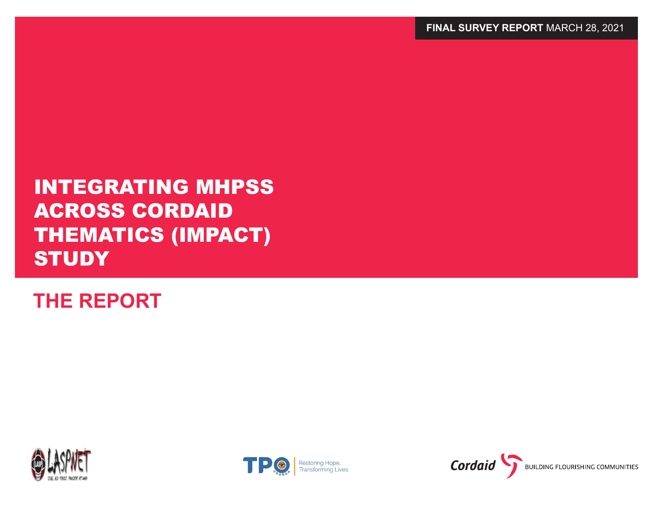**THE REPORT** 





# INTEGRATING MHPSS ACROSS CORDAID THEMATICS (IMPACT) **STUDY**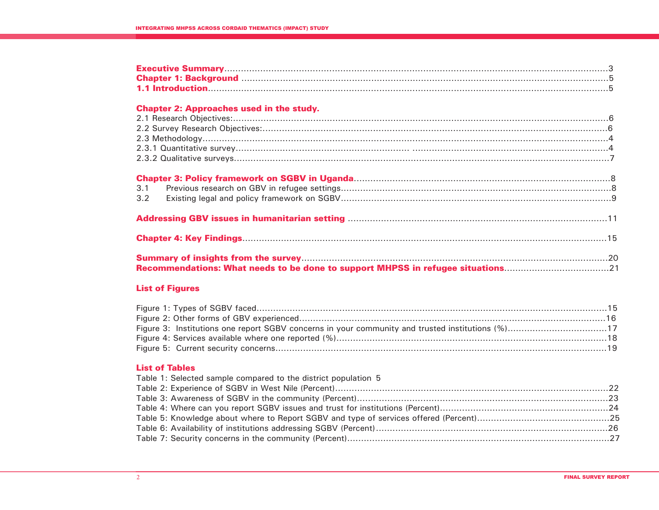### **Chapter 2: Approaches used in the study.**

| <b>Recommendations: What needs to be done to support MHPSS in refugee situations</b> 21 |  |
|-----------------------------------------------------------------------------------------|--|

## **List of Figures**

| Figure 3: Institutions one report SGBV concerns in your community and trusted institutions (%)17 |  |
|--------------------------------------------------------------------------------------------------|--|
|                                                                                                  |  |
|                                                                                                  |  |

# **List of Tables**

| Table 1: Selected sample compared to the district population 5 |  |
|----------------------------------------------------------------|--|
|                                                                |  |
|                                                                |  |
|                                                                |  |
|                                                                |  |
|                                                                |  |
|                                                                |  |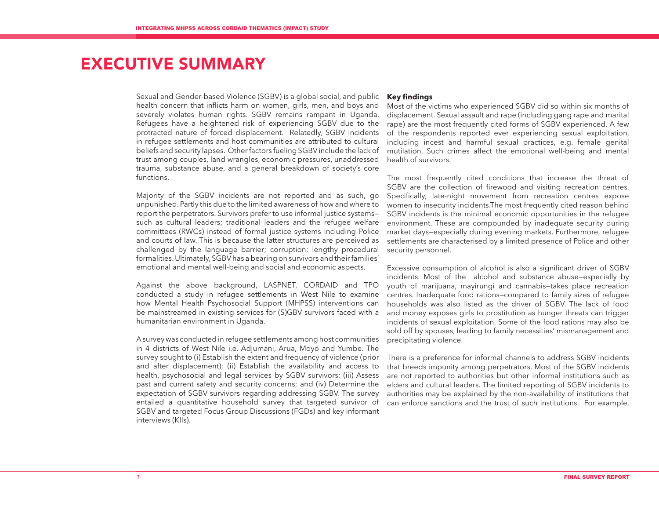# EXECUTIVE SUMMARY

Sexual and Gender-based Violence (SGBV) is a global social, and public health concern that inflicts harm on women, girls, men, and boys and severely violates human rights. SGBV remains rampant in Uganda. Refugees have a heightened risk of experiencing SGBV due to the protracted nature of forced displacement. Relatedly, SGBV incidents in refugee settlements and host communities are attributed to cultural beliefs and security lapses. Other factors fueling SGBV include the lack of trust among couples, land wrangles, economic pressures, unaddressed trauma, substance abuse, and a general breakdown of society's core functions.

Majority of the SGBV incidents are not reported and as such, go unpunished. Partly this due to the limited awareness of how and where to report the perpetrators. Survivors prefer to use informal justice systems such as cultural leaders; traditional leaders and the refugee welfare committees (RWCs) instead of formal justice systems including Police and courts of law. This is because the latter structures are perceived as challenged by the language barrier; corruption; lengthy procedural formalities. Ultimately, SGBV has a bearing on survivors and their families' emotional and mental well-being and social and economic aspects.

Against the above background, LASPNET, CORDAID and TPO conducted a study in refugee settlements in West Nile to examine how Mental Health Psychosocial Support (MHPSS) interventions can be mainstreamed in existing services for (S)GBV survivors faced with a humanitarian environment in Uganda.

A survey was conducted in refugee settlements among host communities in 4 districts of West Nile i.e. Adjumani, Arua, Moyo and Yumbe. The survey sought to (i) Establish the extent and frequency of violence (prior and after displacement); (ii) Establish the availability and access to health, psychosocial and legal services by SGBV survivors; (iii) Assess past and current safety and security concerns; and (iv) Determine the expectation of SGBV survivors regarding addressing SGBV. The survey entailed a quantitative household survey that targeted survivor of SGBV and targeted Focus Group Discussions (FGDs) and key informant interviews (KIIs).

#### **Key findings**

Most of the victims who experienced SGBV did so within six months of displacement. Sexual assault and rape (including gang rape and marital rape) are the most frequently cited forms of SGBV experienced. A few of the respondents reported ever experiencing sexual exploitation, including incest and harmful sexual practices, e.g. female genital mutilation. Such crimes affect the emotional well-being and mental health of survivors.

The most frequently cited conditions that increase the threat of SGBV are the collection of firewood and visiting recreation centres. Specifically, late-night movement from recreation centres expose women to insecurity incidents.The most frequently cited reason behind SGBV incidents is the minimal economic opportunities in the refugee environment. These are compounded by inadequate security during market days—especially during evening markets. Furthermore, refugee settlements are characterised by a limited presence of Police and other security personnel.

Excessive consumption of alcohol is also a significant driver of SGBV incidents. Most of the alcohol and substance abuse—especially by youth of marijuana, mayirungi and cannabis—takes place recreation centres. Inadequate food rations—compared to family sizes of refugee households was also listed as the driver of SGBV. The lack of food and money exposes girls to prostitution as hunger threats can trigger incidents of sexual exploitation. Some of the food rations may also be sold off by spouses, leading to family necessities' mismanagement and precipitating violence.

There is a preference for informal channels to address SGBV incidents that breeds impunity among perpetrators. Most of the SGBV incidents are not reported to authorities but other informal institutions such as elders and cultural leaders. The limited reporting of SGBV incidents to authorities may be explained by the non-availability of institutions that can enforce sanctions and the trust of such institutions. For example,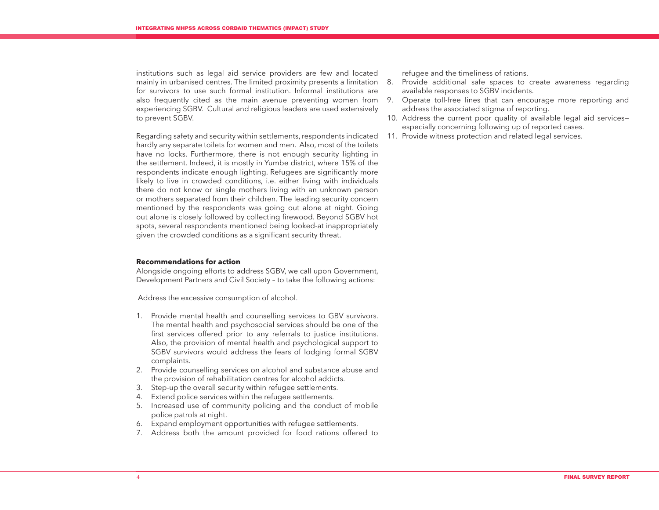institutions such as legal aid service providers are few and located mainly in urbanised centres. The limited proximity presents a limitation 8. for survivors to use such formal institution. Informal institutions are also frequently cited as the main avenue preventing women from experiencing SGBV. Cultural and religious leaders are used extensively to prevent SGBV.

Regarding safety and security within settlements, respondents indicated hardly any separate toilets for women and men. Also, most of the toilets have no locks. Furthermore, there is not enough security lighting in the settlement. Indeed, it is mostly in Yumbe district, where 15% of the respondents indicate enough lighting. Refugees are significantly more likely to live in crowded conditions, i.e. either living with individuals there do not know or single mothers living with an unknown person or mothers separated from their children. The leading security concern mentioned by the respondents was going out alone at night. Going out alone is closely followed by collecting firewood. Beyond SGBV hot spots, several respondents mentioned being looked-at inappropriately given the crowded conditions as a significant security threat.

#### **Recommendations for action**

Alongside ongoing efforts to address SGBV, we call upon Government, Development Partners and Civil Society – to take the following actions:

Address the excessive consumption of alcohol.

- 1. Provide mental health and counselling services to GBV survivors. The mental health and psychosocial services should be one of the first services offered prior to any referrals to justice institutions. Also, the provision of mental health and psychological support to SGBV survivors would address the fears of lodging formal SGBV complaints.
- 2. Provide counselling services on alcohol and substance abuse and the provision of rehabilitation centres for alcohol addicts.
- 3. Step-up the overall security within refugee settlements.
- 4. Extend police services within the refugee settlements.
- 5. Increased use of community policing and the conduct of mobile police patrols at night.
- 6. Expand employment opportunities with refugee settlements.
- 7. Address both the amount provided for food rations offered to

refugee and the timeliness of rations.

- Provide additional safe spaces to create awareness regarding available responses to SGBV incidents.
- 9. Operate toll-free lines that can encourage more reporting and address the associated stigma of reporting.
- 10. Address the current poor quality of available legal aid services especially concerning following up of reported cases.
- 11. Provide witness protection and related legal services.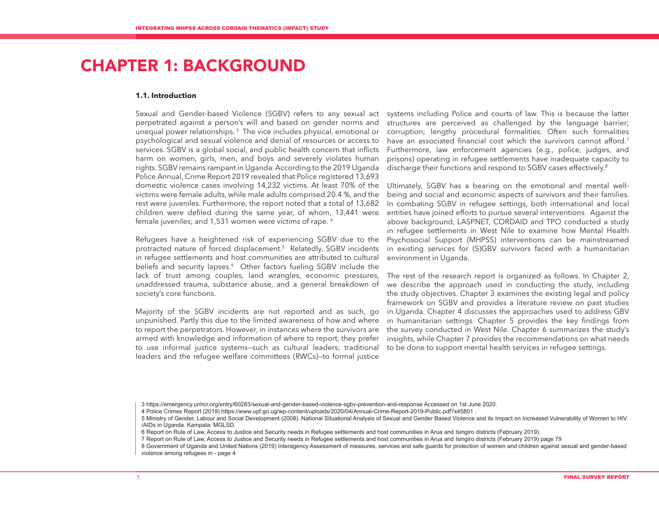# CHAPTER 1: BACKGROUND

#### **1.1. Introduction**

Sexual and Gender-based Violence (SGBV) refers to any sexual act perpetrated against a person's will and based on gender norms and unequal power relationships. 3 The vice includes physical, emotional or psychological and sexual violence and denial of resources or access to services. SGBV is a global social, and public health concern that inflicts harm on women, girls, men, and boys and severely violates human rights. SGBV remains rampant in Uganda. According to the 2019 Uganda Police Annual, Crime Report 2019 revealed that Police registered 13,693 domestic violence cases involving 14,232 victims. At least 70% of the victims were female adults, while male adults comprised 20.4 %, and the rest were juveniles. Furthermore, the report noted that a total of 13,682 children were defiled during the same year, of whom, 13,441 were female juveniles; and 1,531 women were victims of rape. 4

Refugees have a heightened risk of experiencing SGBV due to the protracted nature of forced displacement.5 Relatedly, SGBV incidents in refugee settlements and host communities are attributed to cultural beliefs and security lapses.<sup>6</sup> Other factors fueling SGBV include the lack of trust among couples, land wrangles, economic pressures, unaddressed trauma, substance abuse, and a general breakdown of society's core functions.

Majority of the SGBV incidents are not reported and as such, go unpunished. Partly this due to the limited awareness of how and where to report the perpetrators. However, in instances where the survivors are armed with knowledge and information of where to report, they prefer to use informal justice systems—such as cultural leaders; traditional leaders and the refugee welfare committees (RWCs)—to formal justice

systems including Police and courts of law. This is because the latter structures are perceived as challenged by the language barrier; corruption; lengthy procedural formalities. Often such formalities have an associated financial cost which the survivors cannot afford.<sup>7</sup> Furthermore, law enforcement agencies (e.g., police, judges, and prisons) operating in refugee settlements have inadequate capacity to discharge their functions and respond to SGBV cases effectively.<sup>8</sup>

Ultimately, SGBV has a bearing on the emotional and mental wellbeing and social and economic aspects of survivors and their families. In combating SGBV in refugee settings, both international and local entities have joined efforts to pursue several interventions. Against the above background, LASPNET, CORDAID and TPO conducted a study in refugee settlements in West Nile to examine how Mental Health Psychosocial Support (MHPSS) interventions can be mainstreamed in existing services for (S)GBV survivors faced with a humanitarian environment in Uganda.

The rest of the research report is organized as follows. In Chapter 2, we describe the approach used in conducting the study, including the study objectives. Chapter 3 examines the existing legal and policy framework on SGBV and provides a literature review on past studies in Uganda. Chapter 4 discusses the approaches used to address GBV in humanitarian settings. Chapter 5 provides the key findings from the survey conducted in West Nile. Chapter 6 summarizes the study's insights, while Chapter 7 provides the recommendations on what needs to be done to support mental health services in refugee settings.

<sup>3</sup> https://emergency.unhcr.org/entry/60283/sexual-and-gender-based-violence-sgbv-prevention-and-response Accessed on 1st June 2020.

<sup>4</sup> Police Crimes Report (2019) https://www.upf.go.ug/wp-content/uploads/2020/04/Annual-Crime-Report-2019-Public.pdf?x45801 .

<sup>5</sup> Ministry of Gender, Labour and Social Development (2008). National Situational Analysis of Sexual and Gender Based Violence and its Impact on Increased Vulnerability of Women to HIV /AIDs in Uganda. Kampala: MGLSD.

<sup>6</sup> Report on Rule of Law, Access to Justice and Security needs in Refugee settlements and host communities in Arua and Isingiro districts (February 2019).

<sup>7</sup> Report on Rule of Law, Access to Justice and Security needs in Refugee settlements and host communities in Arua and Isingiro districts (February 2019) page 79

<sup>8</sup> Government of Uganda and United Nations (2019) Interagency Assessment of measures, services and safe guards for protection of women and children against sexual and gender-based violence among refugees in - page 4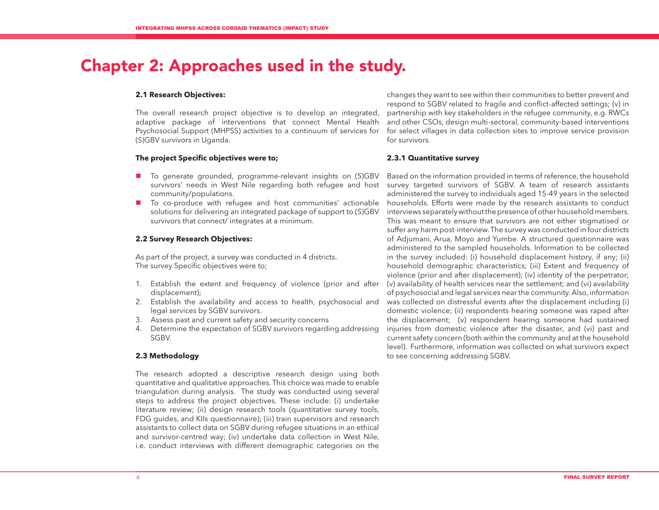# Chapter 2: Approaches used in the study.

#### **2.1 Research Objectives:**

The overall research project objective is to develop an integrated, adaptive package of interventions that connect Mental Health Psychosocial Support (MHPSS) activities to a continuum of services for (S)GBV survivors in Uganda.

#### **The project Specific objectives were to;**

- To generate grounded, programme-relevant insights on (S)GBV survivors' needs in West Nile regarding both refugee and host community/populations.
- To co-produce with refugee and host communities' actionable solutions for delivering an integrated package of support to (S)GBV survivors that connect/ integrates at a minimum.

#### **2.2 Survey Research Objectives:**

As part of the project, a survey was conducted in 4 districts. The survey Specific objectives were to;

- 1. Establish the extent and frequency of violence (prior and after displacement);
- 2. Establish the availability and access to health, psychosocial and legal services by SGBV survivors.
- 3. Assess past and current safety and security concerns
- 4. Determine the expectation of SGBV survivors regarding addressing SGBV.

#### **2.3 Methodology**

The research adopted a descriptive research design using both quantitative and qualitative approaches. This choice was made to enable triangulation during analysis. The study was conducted using several steps to address the project objectives. These include: (i) undertake literature review; (ii) design research tools (quantitative survey tools, FDG guides, and KIIs questionnaire); (iii) train supervisors and research assistants to collect data on SGBV during refugee situations in an ethical and survivor-centred way; (iv) undertake data collection in West Nile, i.e. conduct interviews with different demographic categories on the

changes they want to see within their communities to better prevent and respond to SGBV related to fragile and conflict-affected settings; (v) in partnership with key stakeholders in the refugee community, e.g. RWCs and other CSOs, design multi-sectoral, community-based interventions for select villages in data collection sites to improve service provision for survivors.

#### **2.3.1 Quantitative survey**

Based on the information provided in terms of reference, the household survey targeted survivors of SGBV. A team of research assistants administered the survey to individuals aged 15-49 years in the selected households. Efforts were made by the research assistants to conduct interviews separately without the presence of other household members. This was meant to ensure that survivors are not either stigmatised or suffer any harm post-interview. The survey was conducted in four districts of Adjumani, Arua, Moyo and Yumbe. A structured questionnaire was administered to the sampled households. Information to be collected in the survey included: (i) household displacement history, if any; (ii) household demographic characteristics; (iii) Extent and frequency of violence (prior and after displacement); (iv) identity of the perpetrator; (v) availability of health services near the settlement; and (vi) availability of psychosocial and legal services near the community. Also, information was collected on distressful events after the displacement including (i) domestic violence; (ii) respondents hearing someone was raped after the displacement; (v) respondent hearing someone had sustained injuries from domestic violence after the disaster, and (vi) past and current safety concern (both within the community and at the household level). Furthermore, information was collected on what survivors expect to see concerning addressing SGBV.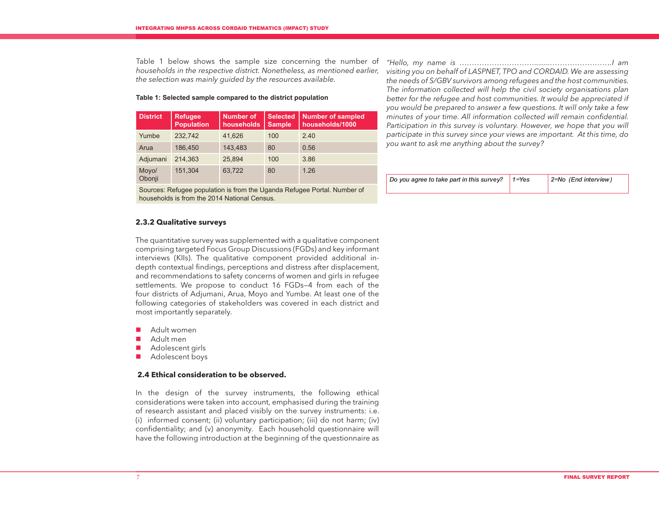Table 1 below shows the sample size concerning the number of *households in the respective district. Nonetheless, as mentioned earlier, the selection was mainly guided by the resources available.* 

#### **Table 1: Selected sample compared to the district population**

| <b>District</b> | <b>Refugee</b><br><b>Population</b> | <b>Number of</b><br>households | <b>Selected</b><br><b>Sample</b> | <b>Number of sampled</b><br>households/1000 |
|-----------------|-------------------------------------|--------------------------------|----------------------------------|---------------------------------------------|
| Yumbe           | 232.742                             | 41.626                         | 100                              | 2.40                                        |
| Arua            | 186.450                             | 143,483                        | 80                               | 0.56                                        |
| Adjumani        | 214,363                             | 25.894                         | 100                              | 3.86                                        |
| Moyo/<br>Obonji | 151,304                             | 63,722                         | 80                               | 1.26                                        |

Sources: Refugee population is from the Uganda Refugee Portal. Number of households is from the 2014 National Census.

### **2.3.2 Qualitative surveys**

The quantitative survey was supplemented with a qualitative component comprising targeted Focus Group Discussions (FGDs) and key informant interviews (KIIs). The qualitative component provided additional indepth contextual findings, perceptions and distress after displacement, and recommendations to safety concerns of women and girls in refugee settlements. We propose to conduct 16 FGDs—4 from each of the four districts of Adjumani, Arua, Moyo and Yumbe. At least one of the following categories of stakeholders was covered in each district and most importantly separately.

- Adult women
- Adult men
- Adolescent girls
- **Adolescent boys**

### **2.4 Ethical consideration to be observed.**

In the design of the survey instruments, the following ethical considerations were taken into account, emphasised during the training of research assistant and placed visibly on the survey instruments: i.e. (i) informed consent; (ii) voluntary participation; (iii) do not harm; (iv) confidentiality; and (v) anonymity. Each household questionnaire will have the following introduction at the beginning of the questionnaire as

*"Hello, my name is …………………………........…………………….I am visiting you on behalf of LASPNET, TPO and CORDAID. We are assessing the needs of S/GBV survivors among refugees and the host communities. The information collected will help the civil society organisations plan better for the refugee and host communities. It would be appreciated if you would be prepared to answer a few questions. It will only take a few minutes of your time. All information collected will remain confidential.*  Participation in this survey is voluntary. However, we hope that you will *participate in this survey since your views are important. At this time, do you want to ask me anything about the survey?* 

| Do you agree to take part in this survey? $\vert$ 1=Yes | $2 = No$ (End interview) |
|---------------------------------------------------------|--------------------------|
|                                                         |                          |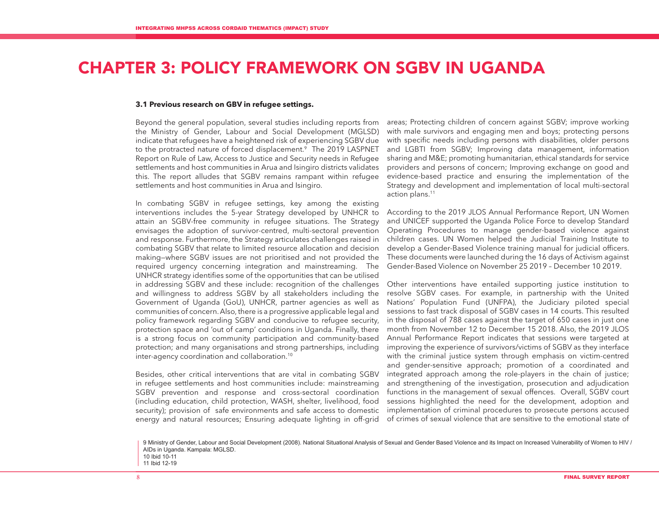# CHAPTER 3: POLICY FRAMEWORK ON SGBV IN UGANDA

#### **3.1 Previous research on GBV in refugee settings.**

Beyond the general population, several studies including reports from the Ministry of Gender, Labour and Social Development (MGLSD) indicate that refugees have a heightened risk of experiencing SGBV due to the protracted nature of forced displacement.<sup>9</sup> The 2019 LASPNET Report on Rule of Law, Access to Justice and Security needs in Refugee settlements and host communities in Arua and Isingiro districts validates this. The report alludes that SGBV remains rampant within refugee settlements and host communities in Arua and Isingiro.

In combating SGBV in refugee settings, key among the existing interventions includes the 5-year Strategy developed by UNHCR to attain an SGBV-free community in refugee situations. The Strategy envisages the adoption of survivor-centred, multi-sectoral prevention and response. Furthermore, the Strategy articulates challenges raised in combating SGBV that relate to limited resource allocation and decision making—where SGBV issues are not prioritised and not provided the required urgency concerning integration and mainstreaming. The UNHCR strategy identifies some of the opportunities that can be utilised in addressing SGBV and these include: recognition of the challenges and willingness to address SGBV by all stakeholders including the Government of Uganda (GoU), UNHCR, partner agencies as well as communities of concern. Also, there is a progressive applicable legal and policy framework regarding SGBV and conducive to refugee security, protection space and 'out of camp' conditions in Uganda. Finally, there is a strong focus on community participation and community-based protection; and many organisations and strong partnerships, including inter-agency coordination and collaboration.10

Besides, other critical interventions that are vital in combating SGBV in refugee settlements and host communities include: mainstreaming SGBV prevention and response and cross-sectoral coordination (including education, child protection, WASH, shelter, livelihood, food security); provision of safe environments and safe access to domestic energy and natural resources; Ensuring adequate lighting in off-grid

areas; Protecting children of concern against SGBV; improve working with male survivors and engaging men and boys; protecting persons with specific needs including persons with disabilities, older persons and LGBTI from SGBV; Improving data management, information sharing and M&E; promoting humanitarian, ethical standards for service providers and persons of concern; Improving exchange on good and evidence-based practice and ensuring the implementation of the Strategy and development and implementation of local multi-sectoral action plans.11

According to the 2019 JLOS Annual Performance Report, UN Women and UNICEF supported the Uganda Police Force to develop Standard Operating Procedures to manage gender-based violence against children cases. UN Women helped the Judicial Training Institute to develop a Gender-Based Violence training manual for judicial officers. These documents were launched during the 16 days of Activism against Gender-Based Violence on November 25 2019 – December 10 2019.

Other interventions have entailed supporting justice institution to resolve SGBV cases. For example, in partnership with the United Nations' Population Fund (UNFPA), the Judiciary piloted special sessions to fast track disposal of SGBV cases in 14 courts. This resulted in the disposal of 788 cases against the target of 650 cases in just one month from November 12 to December 15 2018. Also, the 2019 JLOS Annual Performance Report indicates that sessions were targeted at improving the experience of survivors/victims of SGBV as they interface with the criminal justice system through emphasis on victim-centred and gender-sensitive approach; promotion of a coordinated and integrated approach among the role-players in the chain of justice; and strengthening of the investigation, prosecution and adjudication functions in the management of sexual offences. Overall, SGBV court sessions highlighted the need for the development, adoption and implementation of criminal procedures to prosecute persons accused of crimes of sexual violence that are sensitive to the emotional state of

<sup>9</sup> Ministry of Gender, Labour and Social Development (2008). National Situational Analysis of Sexual and Gender Based Violence and its Impact on Increased Vulnerability of Women to HIV / AIDs in Uganda. Kampala: MGLSD. 10 Ibid 10-11

<sup>11</sup> Ibid 12-19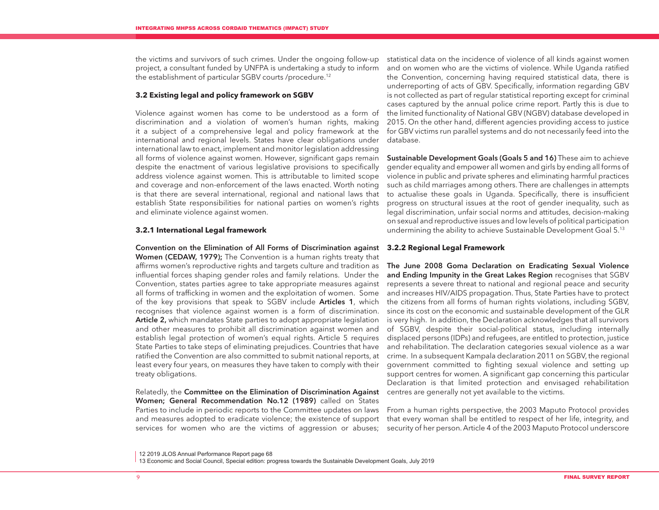the victims and survivors of such crimes. Under the ongoing follow-up project, a consultant funded by UNFPA is undertaking a study to inform the establishment of particular SGBV courts /procedure.12

#### **3.2 Existing legal and policy framework on SGBV**

Violence against women has come to be understood as a form of discrimination and a violation of women's human rights, making it a subject of a comprehensive legal and policy framework at the international and regional levels. States have clear obligations under international law to enact, implement and monitor legislation addressing all forms of violence against women. However, significant gaps remain despite the enactment of various legislative provisions to specifically address violence against women. This is attributable to limited scope and coverage and non-enforcement of the laws enacted. Worth noting is that there are several international, regional and national laws that establish State responsibilities for national parties on women's rights and eliminate violence against women.

#### **3.2.1 International Legal framework**

Convention on the Elimination of All Forms of Discrimination against **3.2.2 Regional Legal Framework** Women (CEDAW, 1979); The Convention is a human rights treaty that affirms women's reproductive rights and targets culture and tradition as influential forces shaping gender roles and family relations. Under the Convention, states parties agree to take appropriate measures against all forms of trafficking in women and the exploitation of women. Some of the key provisions that speak to SGBV include **Articles 1**, which recognises that violence against women is a form of discrimination. Article 2, which mandates State parties to adopt appropriate legislation and other measures to prohibit all discrimination against women and establish legal protection of women's equal rights. Article 5 requires State Parties to take steps of eliminating prejudices. Countries that have ratified the Convention are also committed to submit national reports, at least every four years, on measures they have taken to comply with their treaty obligations.

Relatedly, the **Committee on the Elimination of Discrimination Against** centres are generally not yet available to the victims. Women; General Recommendation No.12 (1989) called on States Parties to include in periodic reports to the Committee updates on laws and measures adopted to eradicate violence; the existence of support services for women who are the victims of aggression or abuses;

statistical data on the incidence of violence of all kinds against women and on women who are the victims of violence. While Uganda ratified the Convention, concerning having required statistical data, there is underreporting of acts of GBV. Specifically, information regarding GBV is not collected as part of regular statistical reporting except for criminal cases captured by the annual police crime report. Partly this is due to the limited functionality of National GBV (NGBV) database developed in 2015. On the other hand, different agencies providing access to justice for GBV victims run parallel systems and do not necessarily feed into the database.

Sustainable Development Goals (Goals 5 and 16) These aim to achieve gender equality and empower all women and girls by ending all forms of violence in public and private spheres and eliminating harmful practices such as child marriages among others. There are challenges in attempts to actualise these goals in Uganda. Specifically, there is insufficient progress on structural issues at the root of gender inequality, such as legal discrimination, unfair social norms and attitudes, decision-making on sexual and reproductive issues and low levels of political participation undermining the ability to achieve Sustainable Development Goal 5.13

The June 2008 Goma Declaration on Eradicating Sexual Violence and Ending Impunity in the Great Lakes Region recognises that SGBV represents a severe threat to national and regional peace and security and increases HIV/AIDS propagation. Thus, State Parties have to protect the citizens from all forms of human rights violations, including SGBV, since its cost on the economic and sustainable development of the GLR is very high. In addition, the Declaration acknowledges that all survivors of SGBV, despite their social-political status, including internally displaced persons (IDPs) and refugees, are entitled to protection, justice and rehabilitation. The declaration categories sexual violence as a war crime. In a subsequent Kampala declaration 2011 on SGBV, the regional government committed to fighting sexual violence and setting up support centres for women. A significant gap concerning this particular Declaration is that limited protection and envisaged rehabilitation

From a human rights perspective, the 2003 Maputo Protocol provides that every woman shall be entitled to respect of her life, integrity, and security of her person. Article 4 of the 2003 Maputo Protocol underscore

<sup>12 2019</sup> JLOS Annual Performance Report page 68

<sup>13</sup> Economic and Social Council, Special edition: progress towards the Sustainable Development Goals, July 2019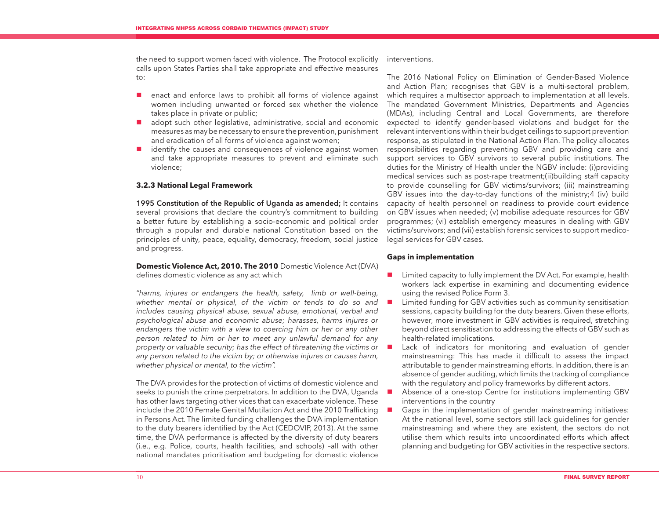the need to support women faced with violence. The Protocol explicitly calls upon States Parties shall take appropriate and effective measures to:

- **E** enact and enforce laws to prohibit all forms of violence against women including unwanted or forced sex whether the violence takes place in private or public;
- adopt such other legislative, administrative, social and economic measures as may be necessary to ensure the prevention, punishment and eradication of all forms of violence against women;
- $\blacksquare$  identify the causes and consequences of violence against women and take appropriate measures to prevent and eliminate such violence;

#### **3.2.3 National Legal Framework**

1995 Constitution of the Republic of Uganda as amended; It contains several provisions that declare the country's commitment to building a better future by establishing a socio-economic and political order through a popular and durable national Constitution based on the principles of unity, peace, equality, democracy, freedom, social justice and progress.

#### **Domestic Violence Act, 2010. The 2010** Domestic Violence Act (DVA) defines domestic violence as any act which

*"harms, injures or endangers the health, safety, limb or well-being, whether mental or physical, of the victim or tends to do so and includes causing physical abuse, sexual abuse, emotional, verbal and psychological abuse and economic abuse; harasses, harms injures or endangers the victim with a view to coercing him or her or any other person related to him or her to meet any unlawful demand for any property or valuable security; has the effect of threatening the victims or any person related to the victim by; or otherwise injures or causes harm, whether physical or mental, to the victim".* 

The DVA provides for the protection of victims of domestic violence and seeks to punish the crime perpetrators. In addition to the DVA, Uganda has other laws targeting other vices that can exacerbate violence. These include the 2010 Female Genital Mutilation Act and the 2010 Trafficking in Persons Act. The limited funding challenges the DVA implementation to the duty bearers identified by the Act (CEDOVIP, 2013). At the same time, the DVA performance is affected by the diversity of duty bearers (i.e., e.g. Police, courts, health facilities, and schools) –all with other national mandates prioritisation and budgeting for domestic violence

interventions.

The 2016 National Policy on Elimination of Gender-Based Violence and Action Plan; recognises that GBV is a multi-sectoral problem, which requires a multisector approach to implementation at all levels. The mandated Government Ministries, Departments and Agencies (MDAs), including Central and Local Governments, are therefore expected to identify gender-based violations and budget for the relevant interventions within their budget ceilings to support prevention response, as stipulated in the National Action Plan. The policy allocates responsibilities regarding preventing GBV and providing care and support services to GBV survivors to several public institutions. The duties for the Ministry of Health under the NGBV include: (i)providing medical services such as post-rape treatment;(ii)building staff capacity to provide counselling for GBV victims/survivors; (iii) mainstreaming GBV issues into the day-to-day functions of the ministry;4 (iv) build capacity of health personnel on readiness to provide court evidence on GBV issues when needed; (v) mobilise adequate resources for GBV programmes; (vi) establish emergency measures in dealing with GBV victims/survivors; and (vii) establish forensic services to support medicolegal services for GBV cases.

#### **Gaps in implementation**

- Limited capacity to fully implement the DV Act. For example, health workers lack expertise in examining and documenting evidence using the revised Police Form 3.
- **Limited funding for GBV activities such as community sensitisation** sessions, capacity building for the duty bearers. Given these efforts, however, more investment in GBV activities is required, stretching beyond direct sensitisation to addressing the effects of GBV such as health-related implications.
- Lack of indicators for monitoring and evaluation of gender mainstreaming: This has made it difficult to assess the impact attributable to gender mainstreaming efforts. In addition, there is an absence of gender auditing, which limits the tracking of compliance with the regulatory and policy frameworks by different actors.
- Absence of a one-stop Centre for institutions implementing GBV interventions in the country
- Gaps in the implementation of gender mainstreaming initiatives: At the national level, some sectors still lack guidelines for gender mainstreaming and where they are existent, the sectors do not utilise them which results into uncoordinated efforts which affect planning and budgeting for GBV activities in the respective sectors.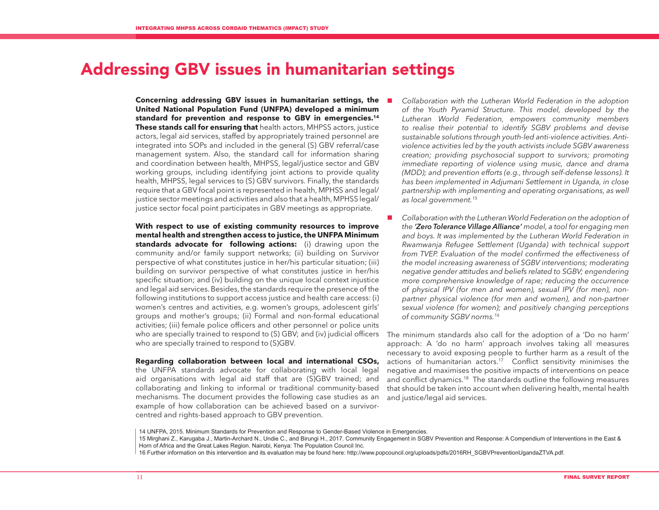# Addressing GBV issues in humanitarian settings

**Concerning addressing GBV issues in humanitarian settings, the United National Population Fund (UNFPA) developed a minimum standard for prevention and response to GBV in emergencies.14 These stands call for ensuring that** health actors, MHPSS actors, justice actors, legal aid services, staffed by appropriately trained personnel are integrated into SOPs and included in the general (S) GBV referral/case management system. Also, the standard call for information sharing and coordination between health, MHPSS, legal/justice sector and GBV working groups, including identifying joint actions to provide quality health, MHPSS, legal services to (S) GBV survivors. Finally, the standards require that a GBV focal point is represented in health, MPHSS and legal/ justice sector meetings and activities and also that a health, MPHSS legal/ justice sector focal point participates in GBV meetings as appropriate.

**With respect to use of existing community resources to improve mental health and strengthen access to justice, the UNFPA Minimum standards advocate for following actions:** (i) drawing upon the community and/or family support networks; (ii) building on Survivor perspective of what constitutes justice in her/his particular situation; (iii) building on survivor perspective of what constitutes justice in her/his specific situation; and (iv) building on the unique local context injustice and legal aid services. Besides, the standards require the presence of the following institutions to support access justice and health care access: (i) women's centres and activities, e.g. women's groups, adolescent girls' groups and mother's groups; (ii) Formal and non-formal educational activities; (iii) female police officers and other personnel or police units who are specially trained to respond to (S) GBV; and (iv) judicial officers who are specially trained to respond to (S)GBV.

**Regarding collaboration between local and international CSOs,**  the UNFPA standards advocate for collaborating with local legal aid organisations with legal aid staff that are (S)GBV trained; and collaborating and linking to informal or traditional community-based mechanisms. The document provides the following case studies as an example of how collaboration can be achieved based on a survivorcentred and rights-based approach to GBV prevention.

- *Collaboration with the Lutheran World Federation in the adoption of the Youth Pyramid Structure. This model, developed by the Lutheran World Federation, empowers community members to realise their potential to identify SGBV problems and devise sustainable solutions through youth-led anti-violence activities. Antiviolence activities led by the youth activists include SGBV awareness creation; providing psychosocial support to survivors; promoting immediate reporting of violence using music, dance and drama (MDD); and prevention efforts (e.g., through self-defense lessons). It has been implemented in Adjumani Settlement in Uganda, in close partnership with implementing and operating organisations, as well as local government.15*
- Collaboration with the Lutheran World Federation on the adoption of *the 'Zero Tolerance Village Alliance' model, a tool for engaging men and boys. It was implemented by the Lutheran World Federation in Rwamwanja Refugee Settlement (Uganda) with technical support from TVEP. Evaluation of the model confirmed the effectiveness of the model increasing awareness of SGBV interventions; moderating negative gender attitudes and beliefs related to SGBV; engendering more comprehensive knowledge of rape; reducing the occurrence of physical IPV (for men and women), sexual IPV (for men), nonpartner physical violence (for men and women), and non-partner sexual violence (for women); and positively changing perceptions of community SGBV norms.16*

The minimum standards also call for the adoption of a 'Do no harm' approach: A 'do no harm' approach involves taking all measures necessary to avoid exposing people to further harm as a result of the actions of humanitarian actors.<sup>17</sup> Conflict sensitivity minimises the negative and maximises the positive impacts of interventions on peace and conflict dynamics.<sup>18</sup> The standards outline the following measures that should be taken into account when delivering health, mental health and justice/legal aid services.

<sup>14</sup> UNFPA, 2015. Minimum Standards for Prevention and Response to Gender-Based Violence in Emergencies.

<sup>15</sup> Mirghani Z., Karugaba J., Martin-Archard N., Undie C., and Birungi H., 2017. Community Engagement in SGBV Prevention and Response: A Compendium of Interventions in the East & Horn of Africa and the Great Lakes Region. Nairobi, Kenya: The Population Council Inc.

<sup>16</sup> Further information on this intervention and its evaluation may be found here: http://www.popcouncil.org/uploads/pdfs/2016RH\_SGBVPreventionUgandaZTVA.pdf.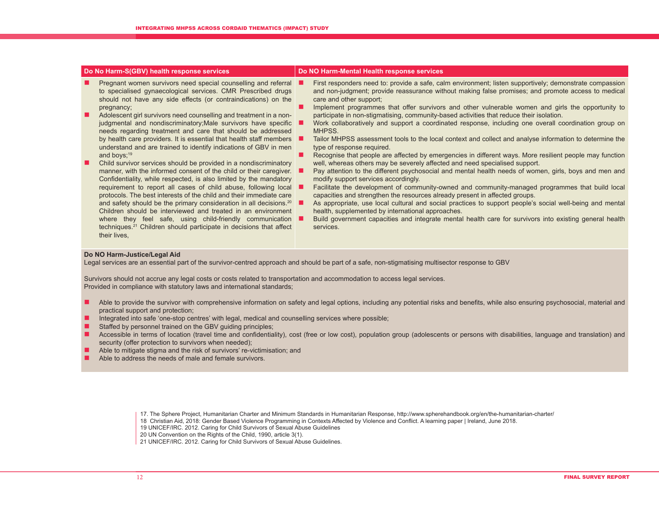|        | Do No Harm-S(GBV) health response services                                                                                                                                                                                                                                                                                                                                                                                                                                                                                                                                                                                                                                                                                                                                                                                                                                                                                                    | Do NO Harm-Mental Health response services                                                                                                                                                                                                                                                                                                                                                                                                                                                                                                                                                                                                                                                                                                                                                                                                                                                                                                                                                                                                                                                                                                                                                                                        |  |
|--------|-----------------------------------------------------------------------------------------------------------------------------------------------------------------------------------------------------------------------------------------------------------------------------------------------------------------------------------------------------------------------------------------------------------------------------------------------------------------------------------------------------------------------------------------------------------------------------------------------------------------------------------------------------------------------------------------------------------------------------------------------------------------------------------------------------------------------------------------------------------------------------------------------------------------------------------------------|-----------------------------------------------------------------------------------------------------------------------------------------------------------------------------------------------------------------------------------------------------------------------------------------------------------------------------------------------------------------------------------------------------------------------------------------------------------------------------------------------------------------------------------------------------------------------------------------------------------------------------------------------------------------------------------------------------------------------------------------------------------------------------------------------------------------------------------------------------------------------------------------------------------------------------------------------------------------------------------------------------------------------------------------------------------------------------------------------------------------------------------------------------------------------------------------------------------------------------------|--|
| ■<br>▉ | Pregnant women survivors need special counselling and referral<br>to specialised gynaecological services. CMR Prescribed drugs<br>should not have any side effects (or contraindications) on the<br>pregnancy;<br>Adolescent girl survivors need counselling and treatment in a non-<br>judgmental and nondiscriminatory; Male survivors have specific<br>needs regarding treatment and care that should be addressed<br>by health care providers. It is essential that health staff members<br>understand and are trained to identify indications of GBV in men<br>and boys; $19$<br>Child survivor services should be provided in a nondiscriminatory<br>manner, with the informed consent of the child or their caregiver.<br>Confidentiality, while respected, is also limited by the mandatory<br>requirement to report all cases of child abuse, following local<br>protocols. The best interests of the child and their immediate care | First responders need to: provide a safe, calm environment; listen supportively; demonstrate compassion<br>and non-judgment; provide reassurance without making false promises; and promote access to medical<br>care and other support;<br>Implement programmes that offer survivors and other vulnerable women and girls the opportunity to<br>participate in non-stigmatising, community-based activities that reduce their isolation.<br>Work collaboratively and support a coordinated response, including one overall coordination group on<br>MHPSS.<br>Tailor MHPSS assessment tools to the local context and collect and analyse information to determine the<br>type of response required.<br>Recognise that people are affected by emergencies in different ways. More resilient people may function<br>well, whereas others may be severely affected and need specialised support.<br>Pay attention to the different psychosocial and mental health needs of women, girls, boys and men and<br>modify support services accordingly.<br>Facilitate the development of community-owned and community-managed programmes that build local<br>capacities and strengthen the resources already present in affected groups. |  |
|        | and safety should be the primary consideration in all decisions. <sup>20</sup><br>Children should be interviewed and treated in an environment<br>where they feel safe, using child-friendly communication<br>techniques. <sup>21</sup> Children should participate in decisions that affect<br>their lives,                                                                                                                                                                                                                                                                                                                                                                                                                                                                                                                                                                                                                                  | As appropriate, use local cultural and social practices to support people's social well-being and mental<br>health, supplemented by international approaches.<br>Build government capacities and integrate mental health care for survivors into existing general health<br>services.                                                                                                                                                                                                                                                                                                                                                                                                                                                                                                                                                                                                                                                                                                                                                                                                                                                                                                                                             |  |
|        |                                                                                                                                                                                                                                                                                                                                                                                                                                                                                                                                                                                                                                                                                                                                                                                                                                                                                                                                               |                                                                                                                                                                                                                                                                                                                                                                                                                                                                                                                                                                                                                                                                                                                                                                                                                                                                                                                                                                                                                                                                                                                                                                                                                                   |  |

#### **Do NO Harm-Justice/Legal Aid**

Legal services are an essential part of the survivor-centred approach and should be part of a safe, non-stigmatising multisector response to GBV

Survivors should not accrue any legal costs or costs related to transportation and accommodation to access legal services. Provided in compliance with statutory laws and international standards;

- Able to provide the survivor with comprehensive information on safety and legal options, including any potential risks and benefits, while also ensuring psychosocial, material and practical support and protection;
- Integrated into safe 'one-stop centres' with legal, medical and counselling services where possible;
- Staffed by personnel trained on the GBV guiding principles;
- Accessible in terms of location (travel time and confidentiality), cost (free or low cost), population group (adolescents or persons with disabilities, language and translation) and security (offer protection to survivors when needed);
- Able to mitigate stigma and the risk of survivors' re-victimisation; and
- Able to address the needs of male and female survivors.

- 18 Christian Aid, 2018: Gender Based Violence Programming in Contexts Affected by Violence and Conflict. A learning paper | Ireland, June 2018.
	- 19 UNICEF/IRC. 2012. Caring for Child Survivors of Sexual Abuse Guidelines

20 UN Convention on the Rights of the Child, 1990, article 3(1).

21 UNICEF/IRC. 2012. Caring for Child Survivors of Sexual Abuse Guidelines.

<sup>17.</sup> The Sphere Project, Humanitarian Charter and Minimum Standards in Humanitarian Response, http://www.spherehandbook.org/en/the-humanitarian-charter/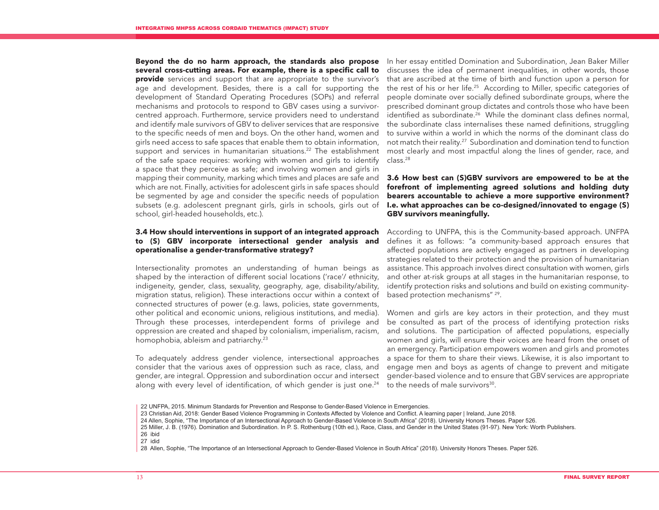**Beyond the do no harm approach, the standards also propose several cross-cutting areas. For example, there is a specific call to provide** services and support that are appropriate to the survivor's age and development. Besides, there is a call for supporting the development of Standard Operating Procedures (SOPs) and referral mechanisms and protocols to respond to GBV cases using a survivorcentred approach. Furthermore, service providers need to understand and identify male survivors of GBV to deliver services that are responsive to the specific needs of men and boys. On the other hand, women and girls need access to safe spaces that enable them to obtain information, support and services in humanitarian situations.<sup>22</sup> The establishment of the safe space requires: working with women and girls to identify a space that they perceive as safe; and involving women and girls in mapping their community, marking which times and places are safe and which are not. Finally, activities for adolescent girls in safe spaces should be segmented by age and consider the specific needs of population subsets (e.g. adolescent pregnant girls, girls in schools, girls out of school, girl-headed households, etc.).

#### **3.4 How should interventions in support of an integrated approach to (S) GBV incorporate intersectional gender analysis and operationalise a gender-transformative strategy?**

Intersectionality promotes an understanding of human beings as shaped by the interaction of different social locations ('race'/ ethnicity, indigeneity, gender, class, sexuality, geography, age, disability/ability, migration status, religion). These interactions occur within a context of connected structures of power (e.g. laws, policies, state governments, other political and economic unions, religious institutions, and media). Through these processes, interdependent forms of privilege and oppression are created and shaped by colonialism, imperialism, racism, homophobia, ableism and patriarchy.<sup>23</sup>

To adequately address gender violence, intersectional approaches consider that the various axes of oppression such as race, class, and gender, are integral. Oppression and subordination occur and intersect along with every level of identification, of which gender is just one.<sup>24</sup>

In her essay entitled Domination and Subordination, Jean Baker Miller discusses the idea of permanent inequalities, in other words, those that are ascribed at the time of birth and function upon a person for the rest of his or her life.25 According to Miller, specific categories of people dominate over socially defined subordinate groups, where the prescribed dominant group dictates and controls those who have been identified as subordinate.<sup>26</sup> While the dominant class defines normal, the subordinate class internalises these named definitions, struggling to survive within a world in which the norms of the dominant class do not match their reality.27 Subordination and domination tend to function most clearly and most impactful along the lines of gender, race, and class.28

#### **3.6 How best can (S)GBV survivors are empowered to be at the forefront of implementing agreed solutions and holding duty bearers accountable to achieve a more supportive environment? I.e. what approaches can be co-designed/innovated to engage (S) GBV survivors meaningfully.**

According to UNFPA, this is the Community-based approach. UNFPA defines it as follows: "a community-based approach ensures that affected populations are actively engaged as partners in developing strategies related to their protection and the provision of humanitarian assistance. This approach involves direct consultation with women, girls and other at-risk groups at all stages in the humanitarian response, to identify protection risks and solutions and build on existing communitybased protection mechanisms" 29.

Women and girls are key actors in their protection, and they must be consulted as part of the process of identifying protection risks and solutions. The participation of affected populations, especially women and girls, will ensure their voices are heard from the onset of an emergency. Participation empowers women and girls and promotes a space for them to share their views. Likewise, it is also important to engage men and boys as agents of change to prevent and mitigate gender-based violence and to ensure that GBV services are appropriate to the needs of male survivors<sup>30</sup>.

<sup>22</sup> UNFPA, 2015. Minimum Standards for Prevention and Response to Gender-Based Violence in Emergencies.

<sup>23</sup> Christian Aid, 2018: Gender Based Violence Programming in Contexts Affected by Violence and Conflict. A learning paper | Ireland, June 2018.

<sup>24</sup> Allen, Sophie, "The Importance of an Intersectional Approach to Gender-Based Violence in South Africa" (2018). University Honors Theses. Paper 526.

<sup>25</sup> Miller, J. B. (1976). Domination and Subordination. In P. S. Rothenburg (10th ed.), Race, Class, and Gender in the United States (91-97). New York: Worth Publishers. 26 ibid

<sup>27</sup> idid

<sup>28</sup> Allen, Sophie, "The Importance of an Intersectional Approach to Gender-Based Violence in South Africa" (2018). University Honors Theses. Paper 526.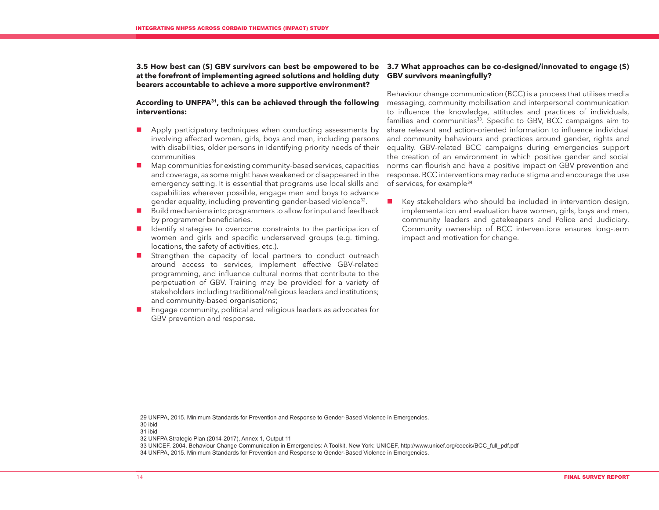**at the forefront of implementing agreed solutions and holding duty bearers accountable to achieve a more supportive environment?** 

#### **According to UNFPA31, this can be achieved through the following interventions:**

- **Apply participatory techniques when conducting assessments by** involving affected women, girls, boys and men, including persons with disabilities, older persons in identifying priority needs of their communities
- Map communities for existing community-based services, capacities and coverage, as some might have weakened or disappeared in the emergency setting. It is essential that programs use local skills and capabilities wherever possible, engage men and boys to advance gender equality, including preventing gender-based violence<sup>32</sup>.
- Build mechanisms into programmers to allow for input and feedback by programmer beneficiaries.
- I Identify strategies to overcome constraints to the participation of women and girls and specific underserved groups (e.g. timing, locations, the safety of activities, etc.).
- **E** Strengthen the capacity of local partners to conduct outreach around access to services, implement effective GBV-related programming, and influence cultural norms that contribute to the perpetuation of GBV. Training may be provided for a variety of stakeholders including traditional/religious leaders and institutions; and community-based organisations;
- **Engage community, political and religious leaders as advocates for** GBV prevention and response.

#### **3.5 How best can (S) GBV survivors can best be empowered to be 3.7 What approaches can be co-designed/innovated to engage (S) GBV survivors meaningfully?**

Behaviour change communication (BCC) is a process that utilises media messaging, community mobilisation and interpersonal communication to influence the knowledge, attitudes and practices of individuals, families and communities<sup>33</sup>. Specific to GBV, BCC campaigns aim to share relevant and action-oriented information to influence individual and community behaviours and practices around gender, rights and equality. GBV-related BCC campaigns during emergencies support the creation of an environment in which positive gender and social norms can flourish and have a positive impact on GBV prevention and response. BCC interventions may reduce stigma and encourage the use of services, for example<sup>34</sup>

■ Key stakeholders who should be included in intervention design, implementation and evaluation have women, girls, boys and men, community leaders and gatekeepers and Police and Judiciary. Community ownership of BCC interventions ensures long-term impact and motivation for change.

29 UNFPA, 2015. Minimum Standards for Prevention and Response to Gender-Based Violence in Emergencies. 30 ibid

31 ibid

32 UNFPA Strategic Plan (2014-2017), Annex 1, Output 11

33 UNICEF. 2004. Behaviour Change Communication in Emergencies: A Toolkit. New York: UNICEF, http://www.unicef.org/ceecis/BCC\_full\_pdf.pdf

34 UNFPA, 2015. Minimum Standards for Prevention and Response to Gender-Based Violence in Emergencies.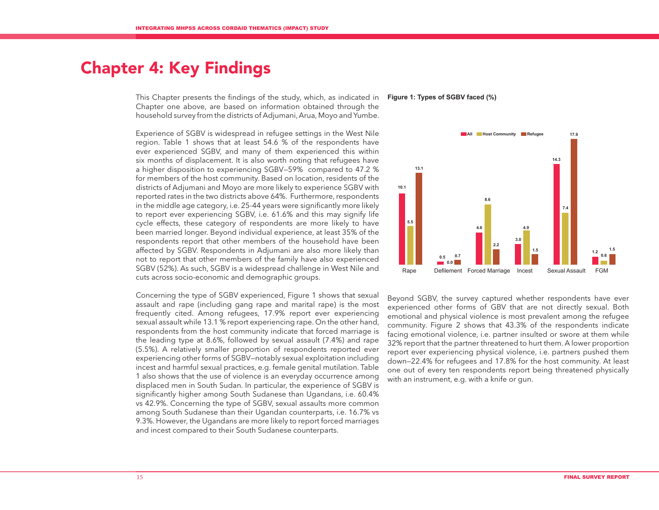# Chapter 4: Key Findings

This Chapter presents the findings of the study, which, as indicated in **Figure 1: Types of SGBV faced (%)** Chapter one above, are based on information obtained through the household survey from the districts of Adjumani, Arua, Moyo and Yumbe.

Experience of SGBV is widespread in refugee settings in the West Nile region. Table 1 shows that at least 54.6 % of the respondents have ever experienced SGBV, and many of them experienced this within six months of displacement. It is also worth noting that refugees have a higher disposition to experiencing SGBV—59% compared to 47.2 % for members of the host community. Based on location, residents of the districts of Adjumani and Moyo are more likely to experience SGBV with reported rates in the two districts above 64%. Furthermore, respondents in the middle age category, i.e. 25-44 years were significantly more likely to report ever experiencing SGBV, i.e. 61.6% and this may signify life cycle effects, these category of respondents are more likely to have been married longer. Beyond individual experience, at least 35% of the respondents report that other members of the household have been affected by SGBV. Respondents in Adjumani are also more likely than not to report that other members of the family have also experienced SGBV (52%). As such, SGBV is a widespread challenge in West Nile and cuts across socio-economic and demographic groups.

Concerning the type of SGBV experienced, Figure 1 shows that sexual assault and rape (including gang rape and marital rape) is the most frequently cited. Among refugees, 17.9% report ever experiencing sexual assault while 13.1 % report experiencing rape. On the other hand, respondents from the host community indicate that forced marriage is the leading type at 8.6%, followed by sexual assault (7.4%) and rape (5.5%). A relatively smaller proportion of respondents reported ever experiencing other forms of SGBV—notably sexual exploitation including incest and harmful sexual practices, e.g. female genital mutilation. Table 1 also shows that the use of violence is an everyday occurrence among displaced men in South Sudan. In particular, the experience of SGBV is significantly higher among South Sudanese than Ugandans, i.e. 60.4% vs 42.9%. Concerning the type of SGBV, sexual assaults more common among South Sudanese than their Ugandan counterparts, i.e. 16.7% vs 9.3%. However, the Ugandans are more likely to report forced marriages and incest compared to their South Sudanese counterparts.



Beyond SGBV, the survey captured whether respondents have ever experienced other forms of GBV that are not directly sexual. Both emotional and physical violence is most prevalent among the refugee community. Figure 2 shows that 43.3% of the respondents indicate facing emotional violence, i.e. partner insulted or swore at them while 32% report that the partner threatened to hurt them. A lower proportion report ever experiencing physical violence, i.e. partners pushed them down—22.4% for refugees and 17.8% for the host community. At least one out of every ten respondents report being threatened physically with an instrument, e.g. with a knife or gun.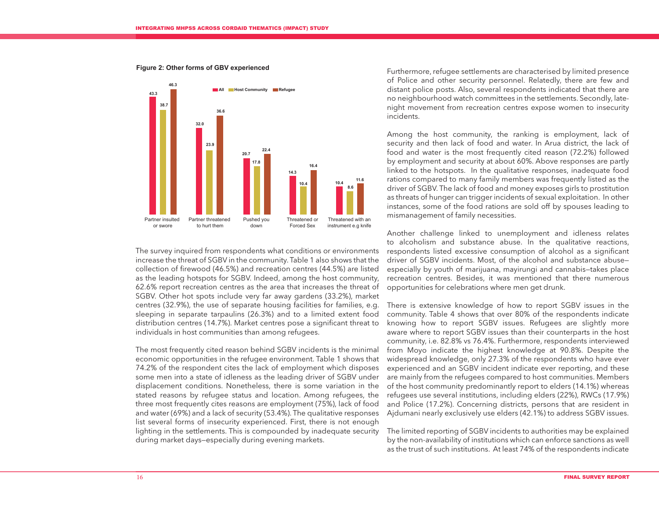

**Figure 2: Other forms of GBV experienced**

The survey inquired from respondents what conditions or environments increase the threat of SGBV in the community. Table 1 also shows that the collection of firewood (46.5%) and recreation centres (44.5%) are listed as the leading hotspots for SGBV. Indeed, among the host community, 62.6% report recreation centres as the area that increases the threat of SGBV. Other hot spots include very far away gardens (33.2%), market centres (32.9%), the use of separate housing facilities for families, e.g. sleeping in separate tarpaulins (26.3%) and to a limited extent food distribution centres (14.7%). Market centres pose a significant threat to individuals in host communities than among refugees.

The most frequently cited reason behind SGBV incidents is the minimal economic opportunities in the refugee environment. Table 1 shows that 74.2% of the respondent cites the lack of employment which disposes some men into a state of idleness as the leading driver of SGBV under displacement conditions. Nonetheless, there is some variation in the stated reasons by refugee status and location. Among refugees, the three most frequently cites reasons are employment (75%), lack of food and water (69%) and a lack of security (53.4%). The qualitative responses list several forms of insecurity experienced. First, there is not enough lighting in the settlements. This is compounded by inadequate security during market days—especially during evening markets.

Furthermore, refugee settlements are characterised by limited presence of Police and other security personnel. Relatedly, there are few and distant police posts. Also, several respondents indicated that there are no neighbourhood watch committees in the settlements. Secondly, latenight movement from recreation centres expose women to insecurity incidents.

Among the host community, the ranking is employment, lack of security and then lack of food and water. In Arua district, the lack of food and water is the most frequently cited reason (72.2%) followed by employment and security at about 60%. Above responses are partly linked to the hotspots. In the qualitative responses, inadequate food rations compared to many family members was frequently listed as the driver of SGBV. The lack of food and money exposes girls to prostitution as threats of hunger can trigger incidents of sexual exploitation. In other instances, some of the food rations are sold off by spouses leading to mismanagement of family necessities.

Another challenge linked to unemployment and idleness relates to alcoholism and substance abuse. In the qualitative reactions, respondents listed excessive consumption of alcohol as a significant driver of SGBV incidents. Most, of the alcohol and substance abuse especially by youth of marijuana, mayirungi and cannabis—takes place recreation centres. Besides, it was mentioned that there numerous opportunities for celebrations where men get drunk.

There is extensive knowledge of how to report SGBV issues in the community. Table 4 shows that over 80% of the respondents indicate knowing how to report SGBV issues. Refugees are slightly more aware where to report SGBV issues than their counterparts in the host community, i.e. 82.8% vs 76.4%. Furthermore, respondents interviewed from Moyo indicate the highest knowledge at 90.8%. Despite the widespread knowledge, only 27.3% of the respondents who have ever experienced and an SGBV incident indicate ever reporting, and these are mainly from the refugees compared to host communities. Members of the host community predominantly report to elders (14.1%) whereas refugees use several institutions, including elders (22%), RWCs (17.9%) and Police (17.2%). Concerning districts, persons that are resident in Ajdumani nearly exclusively use elders (42.1%) to address SGBV issues.

The limited reporting of SGBV incidents to authorities may be explained by the non-availability of institutions which can enforce sanctions as well as the trust of such institutions. At least 74% of the respondents indicate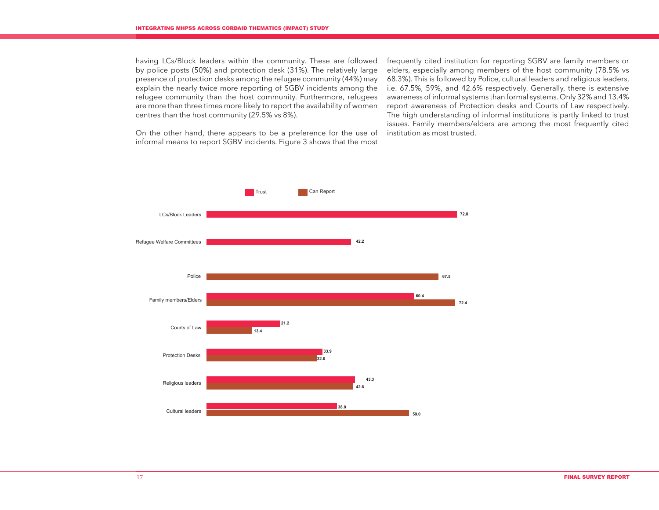having LCs/Block leaders within the community. These are followed by police posts (50%) and protection desk (31%). The relatively large presence of protection desks among the refugee community (44%) may explain the nearly twice more reporting of SGBV incidents among the refugee community than the host community. Furthermore, refugees are more than three times more likely to report the availability of women centres than the host community (29.5% vs 8%).

frequently cited institution for reporting SGBV are family members or elders, especially among members of the host community (78.5% vs 68.3%). This is followed by Police, cultural leaders and religious leaders, i.e. 67.5%, 59%, and 42.6% respectively. Generally, there is extensive awareness of informal systems than formal systems. Only 32% and 13.4% report awareness of Protection desks and Courts of Law respectively. The high understanding of informal institutions is partly linked to trust issues. Family members/elders are among the most frequently cited institution as most trusted.

On the other hand, there appears to be a preference for the use of informal means to report SGBV incidents. Figure 3 shows that the most

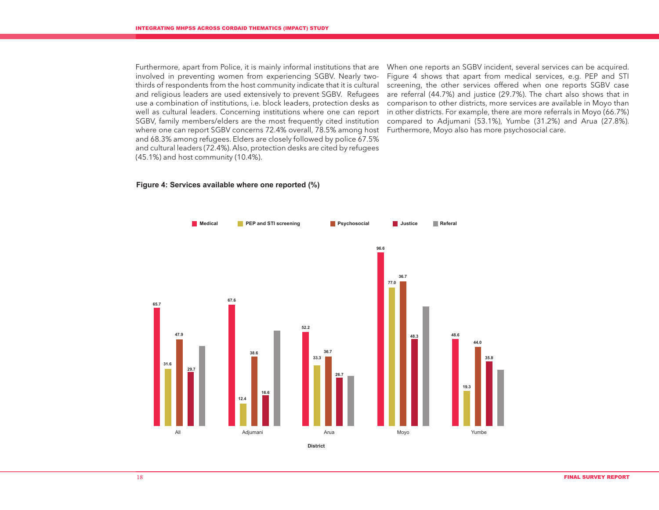Furthermore, apart from Police, it is mainly informal institutions that are involved in preventing women from experiencing SGBV. Nearly twothirds of respondents from the host community indicate that it is cultural and religious leaders are used extensively to prevent SGBV. Refugees use a combination of institutions, i.e. block leaders, protection desks as well as cultural leaders. Concerning institutions where one can report SGBV, family members/elders are the most frequently cited institution where one can report SGBV concerns 72.4% overall, 78.5% among host and 68.3% among refugees. Elders are closely followed by police 67.5% and cultural leaders (72.4%). Also, protection desks are cited by refugees (45.1%) and host community (10.4%).

When one reports an SGBV incident, several services can be acquired. Figure 4 shows that apart from medical services, e.g. PEP and STI screening, the other services offered when one reports SGBV case are referral (44.7%) and justice (29.7%). The chart also shows that in comparison to other districts, more services are available in Moyo than in other districts. For example, there are more referrals in Moyo (66.7%) compared to Adjumani (53.1%), Yumbe (31.2%) and Arua (27.8%). Furthermore, Moyo also has more psychosocial care.

### **47.9 38.6 36.7 36.7 44.0 12.4 33.3 77.0 19.3 65.7 67.6 52.2 96.6 48.6 29.7 31.6 16.6 26.7 48.3 35.8** Adiumani **Arua District Medical CONFIDER And STI screening CONFIDER Sychosocial CONFIDER Seferal** Moyo Yumbe

#### **Figure 4: Services available where one reported (%)**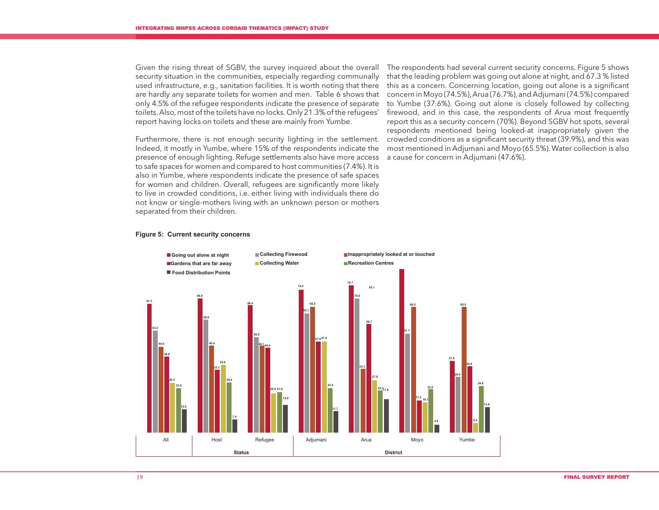security situation in the communities, especially regarding communally used infrastructure, e.g., sanitation facilities. It is worth noting that there are hardly any separate toilets for women and men. Table 6 shows that only 4.5% of the refugee respondents indicate the presence of separate toilets. Also, most of the toilets have no locks. Only 21.3% of the refugees' report having locks on toilets and these are mainly from Yumbe.

Furthermore, there is not enough security lighting in the settlement. Indeed, it mostly in Yumbe, where 15% of the respondents indicate the presence of enough lighting. Refuge settlements also have more access to safe spaces for women and compared to host communities (7.4%). It is also in Yumbe, where respondents indicate the presence of safe spaces for women and children. Overall, refugees are significantly more likely to live in crowded conditions, i.e. either living with individuals there do not know or single-mothers living with an unknown person or mothers separated from their children.

Given the rising threat of SGBV, the survey inquired about the overall The respondents had several current security concerns. Figure 5 shows that the leading problem was going out alone at night, and 67.3 % listed this as a concern. Concerning location, going out alone is a significant concern in Moyo (74.5%), Arua (76.7%), and Adjumani (74.5%) compared to Yumbe (37.6%). Going out alone is closely followed by collecting firewood, and in this case, the respondents of Arua most frequently report this as a security concern (70%). Beyond SGBV hot spots, several respondents mentioned being looked-at inappropriately given the crowded conditions as a significant security threat (39.9%), and this was most mentioned in Adjumani and Moyo (65.5%). Water collection is also a cause for concern in Adjumani (47.6%).

#### **Figure 5: Current security concerns**

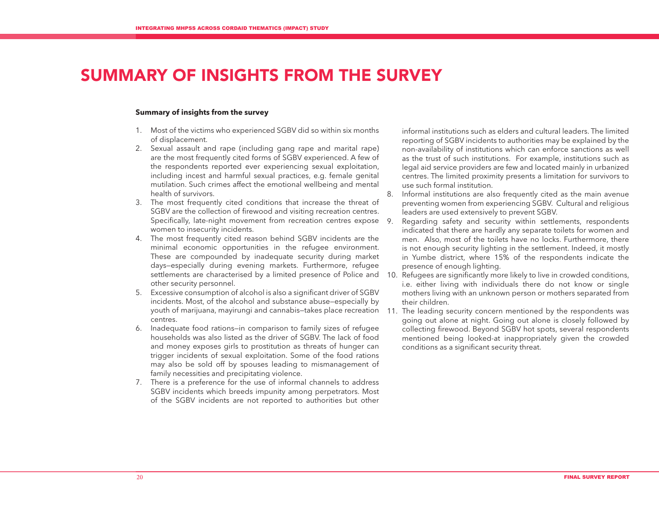# SUMMARY OF INSIGHTS FROM THE SURVEY

#### **Summary of insights from the survey**

- 1. Most of the victims who experienced SGBV did so within six months of displacement.
- 2. Sexual assault and rape (including gang rape and marital rape) are the most frequently cited forms of SGBV experienced. A few of the respondents reported ever experiencing sexual exploitation, including incest and harmful sexual practices, e.g. female genital mutilation. Such crimes affect the emotional wellbeing and mental health of survivors.
- 3. The most frequently cited conditions that increase the threat of SGBV are the collection of firewood and visiting recreation centres. Specifically, late-night movement from recreation centres expose 9. women to insecurity incidents.
- 4. The most frequently cited reason behind SGBV incidents are the minimal economic opportunities in the refugee environment. These are compounded by inadequate security during market days—especially during evening markets. Furthermore, refugee settlements are characterised by a limited presence of Police and 10. Refugees are significantly more likely to live in crowded conditions, other security personnel.
- 5. Excessive consumption of alcohol is also a significant driver of SGBV incidents. Most, of the alcohol and substance abuse—especially by youth of marijuana, mayirungi and cannabis—takes place recreation 11. The leading security concern mentioned by the respondents was centres.
- 6. Inadequate food rations—in comparison to family sizes of refugee households was also listed as the driver of SGBV. The lack of food and money exposes girls to prostitution as threats of hunger can trigger incidents of sexual exploitation. Some of the food rations may also be sold off by spouses leading to mismanagement of family necessities and precipitating violence.
- 7. There is a preference for the use of informal channels to address SGBV incidents which breeds impunity among perpetrators. Most of the SGBV incidents are not reported to authorities but other

informal institutions such as elders and cultural leaders. The limited reporting of SGBV incidents to authorities may be explained by the non-availability of institutions which can enforce sanctions as well as the trust of such institutions. For example, institutions such as legal aid service providers are few and located mainly in urbanized centres. The limited proximity presents a limitation for survivors to use such formal institution.

- 8. Informal institutions are also frequently cited as the main avenue preventing women from experiencing SGBV. Cultural and religious leaders are used extensively to prevent SGBV.
- Regarding safety and security within settlements, respondents indicated that there are hardly any separate toilets for women and men. Also, most of the toilets have no locks. Furthermore, there is not enough security lighting in the settlement. Indeed, it mostly in Yumbe district, where 15% of the respondents indicate the presence of enough lighting.
- i.e. either living with individuals there do not know or single mothers living with an unknown person or mothers separated from their children.
- going out alone at night. Going out alone is closely followed by collecting firewood. Beyond SGBV hot spots, several respondents mentioned being looked-at inappropriately given the crowded conditions as a significant security threat.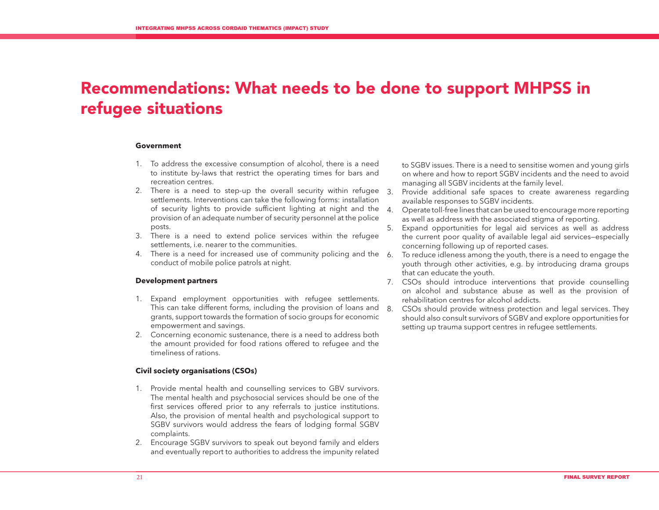# Recommendations: What needs to be done to support MHPSS in refugee situations

#### **Government**

- 1. To address the excessive consumption of alcohol, there is a need to institute by-laws that restrict the operating times for bars and recreation centres.
- 2. There is a need to step-up the overall security within refugee 3. settlements. Interventions can take the following forms: installation of security lights to provide sufficient lighting at night and the provision of an adequate number of security personnel at the police posts.
- 3. There is a need to extend police services within the refugee settlements, i.e. nearer to the communities.
- 4. There is a need for increased use of community policing and the  $6.$ conduct of mobile police patrols at night.

#### **Development partners**

- 1. Expand employment opportunities with refugee settlements. This can take different forms, including the provision of loans and 8. grants, support towards the formation of socio groups for economic empowerment and savings.
- 2. Concerning economic sustenance, there is a need to address both the amount provided for food rations offered to refugee and the timeliness of rations.

#### **Civil society organisations (CSOs)**

- 1. Provide mental health and counselling services to GBV survivors. The mental health and psychosocial services should be one of the first services offered prior to any referrals to justice institutions. Also, the provision of mental health and psychological support to SGBV survivors would address the fears of lodging formal SGBV complaints.
- 2. Encourage SGBV survivors to speak out beyond family and elders and eventually report to authorities to address the impunity related

to SGBV issues. There is a need to sensitise women and young girls on where and how to report SGBV incidents and the need to avoid managing all SGBV incidents at the family level.

- Provide additional safe spaces to create awareness regarding available responses to SGBV incidents.
- 4. Operate toll-free lines that can be used to encourage more reporting as well as address with the associated stigma of reporting.
- 5. Expand opportunities for legal aid services as well as address the current poor quality of available legal aid services—especially concerning following up of reported cases.
- To reduce idleness among the youth, there is a need to engage the youth through other activities, e.g. by introducing drama groups that can educate the youth.
- 7. CSOs should introduce interventions that provide counselling on alcohol and substance abuse as well as the provision of rehabilitation centres for alcohol addicts.
- CSOs should provide witness protection and legal services. They should also consult survivors of SGBV and explore opportunities for setting up trauma support centres in refugee settlements.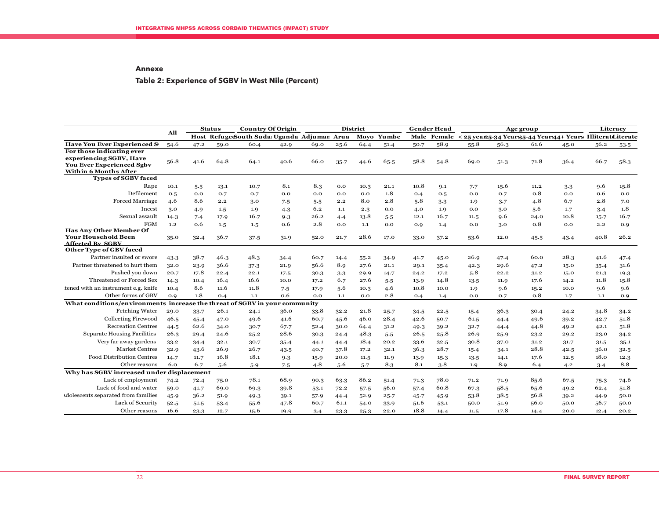#### **Annexe**

## **Table 2: Experience of SGBV in West Nile (Percent)**

|                                                                            | All  |      | <b>Status</b> | <b>Country Of Origin</b>                   |      |      |          | <b>District</b> |            |      | <b>Gender Head</b> |                                                           | Age group |      |      |      | Literacy |
|----------------------------------------------------------------------------|------|------|---------------|--------------------------------------------|------|------|----------|-----------------|------------|------|--------------------|-----------------------------------------------------------|-----------|------|------|------|----------|
|                                                                            |      |      |               | Host Refuge South Suda Uganda Adjumar Arua |      |      |          |                 | Moyo Yumbe |      | <b>Male Female</b> | < 25 year25-34 Year85-44 Years44+ Years Illiteratditerate |           |      |      |      |          |
| <b>Have You Ever Experienced S</b>                                         | 54.6 | 47.2 | 59.0          | 60.4                                       | 42.9 | 69.0 | 25.6     | 64.4            | 51.4       | 50.7 | 58.9               | 55.8                                                      | 56.3      | 61.6 | 45.0 | 56.2 | 53.5     |
| For those indicating ever                                                  |      |      |               |                                            |      |      |          |                 |            |      |                    |                                                           |           |      |      |      |          |
| experiencing SGBV, Have<br><b>You Ever Experienced Sgbv</b>                | 56.8 | 41.6 | 64.8          | 64.1                                       | 40.6 | 66.0 | $35 - 7$ | 44.6            | 65.5       | 58.8 | 54.8               | 69.0                                                      | 51.3      | 71.8 | 36.4 | 66.7 | 58.3     |
| <b>Within 6 Months After</b>                                               |      |      |               |                                            |      |      |          |                 |            |      |                    |                                                           |           |      |      |      |          |
| <b>Types of SGBV faced</b>                                                 |      |      |               |                                            |      |      |          |                 |            |      |                    |                                                           |           |      |      |      |          |
| Rape                                                                       | 10.1 | 5.5  | 13.1          | 10.7                                       | 8.1  | 8.3  | 0.0      | 10.3            | 21.1       | 10.8 | 9.1                | 7.7                                                       | 15.6      | 11.2 | 3.3  | 9.6  | 15.8     |
| Defilement                                                                 | 0.5  | 0.0  | 0.7           | 0.7                                        | 0.0  | 0.0  | 0.0      | 0.0             | 1.8        | O.4  | O.5                | 0.0                                                       | 0.7       | 0.8  | 0.0  | 0.6  | 0.0      |
| <b>Forced Marriage</b>                                                     | 4.6  | 8.6  | 2.2           | 3.0                                        | 7.5  | 5.5  | 2.2      | 8.0             | 2.8        | 5.8  | $3-3$              | 1.9                                                       | 3.7       | 4.8  | 6.7  | 2.8  | 7.0      |
| Incest                                                                     | 3.0  | 4.9  | 1.5           | 1.9                                        | 4.3  | 6.2  | 1.1      | 2.3             | 0.0        | 4.0  | 1.9                | 0.0                                                       | 3.0       | 5.6  | 1.7  | 3.4  | 1.8      |
| Sexual assault                                                             | 14.3 | 7.4  | 17.9          | 16.7                                       | 9.3  | 26.2 | 4.4      | 13.8            | $5-5$      | 12.1 | 16.7               | 11.5                                                      | 9.6       | 24.0 | 10.8 | 15.7 | 16.7     |
| FGM                                                                        | 1.2  | 0.6  | 1.5           | 1.5                                        | 0.6  | 2.8  | 0.0      | 1.1             | 0.0        | 0.9  | 1.4                | 0.0                                                       | 3.0       | 0.8  | 0.0  | 2.2  | 0.9      |
| <b>Has Any Other Member Of</b>                                             |      |      |               |                                            |      |      |          |                 |            |      |                    |                                                           |           |      |      |      |          |
| <b>Your Household Been</b>                                                 | 35.0 | 32.4 | 36.7          | 37.5                                       | 31.9 | 52.0 | 21.7     | 28.6            | 17.0       | 33.0 | 37.2               | 53.6                                                      | 12.0      | 45.5 | 43.4 | 40.8 | 26.2     |
| <b>Affected By SGBV</b><br>Other Type of GBV faced                         |      |      |               |                                            |      |      |          |                 |            |      |                    |                                                           |           |      |      |      |          |
| Partner insulted or swore                                                  | 43.3 | 38.7 | 46.3          | 48.3                                       | 34.4 | 60.7 | 14.4     | 55.2            | 34.9       | 41.7 | 45.0               | 26.9                                                      | 47.4      | 60.0 | 28.3 | 41.6 | 47.4     |
| Partner threatened to hurt them                                            | 32.0 | 23.9 | 36.6          | 37.3                                       | 21.9 | 56.6 | 8.9      | 27.6            | 21.1       | 29.1 | 35.4               | 42.3                                                      | 29.6      | 47.2 | 15.0 | 35.4 | 31.6     |
| Pushed you down                                                            | 20.7 | 17.8 | 22.4          | 22.1                                       | 17.5 | 30.3 | 3.3      | 29.9            | 14.7       | 24.2 | 17.2               | 5.8                                                       | 22.2      | 31.2 | 15.0 | 21.3 | 19.3     |
| Threatened or Forced Sex                                                   | 14.3 | 10.4 | 16.4          | 16.6                                       | 10.0 | 17.2 | 6.7      | 27.6            | $5-5$      | 13.9 | 14.8               | 13.5                                                      | 11.9      | 17.6 | 14.2 | 11.8 | 15.8     |
| tened with an instrument e.g. knife                                        | 10.4 | 8.6  | 11.6          | 11.8                                       | 7.5  | 17.9 | 5.6      | 10.3            | 4.6        | 10.8 | 10.0               | 1.9                                                       | 9.6       | 15.2 | 10.0 | 9.6  | 9.6      |
| Other forms of GBV                                                         | O.9  | 1.8  | 0.4           | 1.1                                        | 0.6  | 0.0  | 1.1      | 0.0             | 2.8        | O.4  | 1.4                | 0.0                                                       | 0.7       | 0.8  | 1.7  | 1.1  | 0.9      |
| What conditions/environments increase the threat of SGBV in your community |      |      |               |                                            |      |      |          |                 |            |      |                    |                                                           |           |      |      |      |          |
| Fetching Water                                                             | 29.0 | 33.7 | 26.1          | 24.1                                       | 36.0 | 33.8 | 32.2     | 21.8            | 25.7       | 34.5 | 22.5               | 15.4                                                      | 36.3      | 30.4 | 24.2 | 34.8 | 34.2     |
| <b>Collecting Firewood</b>                                                 | 46.5 | 45.4 | 47.0          | 49.6                                       | 41.6 | 60.7 | 45.6     | 46.0            | 28.4       | 42.6 | 50.7               | 61.5                                                      | 44.4      | 49.6 | 39.2 | 42.7 | 51.8     |
| <b>Recreation Centres</b>                                                  | 44.5 | 62.6 | 34.0          | 30.7                                       | 67.7 | 52.4 | 30.0     | 64.4            | 31.2       | 49.3 | 39.2               | 32.7                                                      | 44.4      | 44.8 | 49.2 | 42.1 | 51.8     |
| <b>Separate Housing Facilities</b>                                         | 26.3 | 29.4 | 24.6          | 25.2                                       | 28.6 | 30.3 | 24.4     | 48.3            | 5.5        | 26.5 | 25.8               | 26.9                                                      | 25.9      | 23.2 | 29.2 | 23.0 | 34.2     |
| Very far away gardens                                                      | 33.2 | 34.4 | 32.1          | 30.7                                       | 35.4 | 44.1 | 44.4     | 18.4            | 20.2       | 33.6 | 32.5               | 30.8                                                      | 37.0      | 31.2 | 31.7 | 31.5 | 35.1     |
| <b>Market Centres</b>                                                      | 32.9 | 43.6 | 26.9          | 26.7                                       | 43.5 | 40.7 | 37.8     | 17.2            | 32.1       | 36.3 | 28.7               | 15.4                                                      | 34.1      | 28.8 | 42.5 | 36.0 | 32.5     |
| Food Distribution Centres                                                  | 14.7 | 11.7 | 16.8          | 18.1                                       | 9.3  | 15.9 | 20.0     | 11.5            | 11.9       | 13.9 | 15.3               | 13.5                                                      | 14.1      | 17.6 | 12.5 | 18.0 | 12.3     |
| Other reasons                                                              | 6.0  | 6.7  | 5.6           | 5.9                                        | 7.5  | 4.8  | 5.6      | 5.7             | 8.3        | 8.1  | 3.8                | 1.9                                                       | 8.9       | 6.4  | 4.2  | 3.4  | 8.8      |
| Why has SGBV increased under displacement                                  |      |      |               |                                            |      |      |          |                 |            |      |                    |                                                           |           |      |      |      |          |
| Lack of employment                                                         | 74.2 | 72.4 | 75.0          | 78.1                                       | 68.9 | 90.3 | 63.3     | 86.2            | 51.4       | 71.3 | 78.0               | 71.2                                                      | 71.9      | 85.6 | 67.5 | 75.3 | 74.6     |
| Lack of food and water                                                     | 59.0 | 41.7 | 69.0          | 69.3                                       | 39.8 | 53.1 | 72.2     | 57.5            | 56.0       | 57.4 | 60.8               | 67.3                                                      | 58.5      | 65.6 | 49.2 | 62.4 | 51.8     |
| dolescents separated from families                                         | 45.9 | 36.2 | 51.9          | 49.3                                       | 39.1 | 57.9 | 44.4     | 52.9            | 25.7       | 45.7 | 45.9               | 53.8                                                      | 38.5      | 56.8 | 39.2 | 44.9 | 50.0     |
| Lack of Security                                                           | 52.5 | 51.5 | 53.4          | 55.6                                       | 47.8 | 60.7 | 61.1     | 54.0            | 33.9       | 51.6 | 53.1               | 50.0                                                      | 51.9      | 56.0 | 50.0 | 56.7 | 50.0     |
| Other reasons                                                              | 16.6 | 23.3 | 12.7          | 15.6                                       | 19.9 | 3.4  | 23.3     | 25.3            | 22.0       | 18.8 | 14.4               | 11.5                                                      | 17.8      | 14.4 | 20.0 | 12.4 | 20.2     |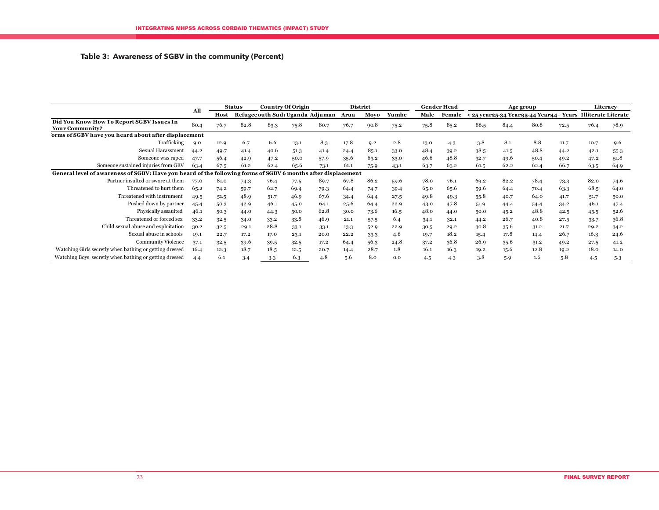### **Table 3: Awareness of SGBV in the community (Percent)**

|                                                                                                               |      |      | <b>Status</b> |      | <b>Country Of Origin</b> |                                  |      | <b>District</b> |       |      | <b>Gender Head</b> |                                                               |      | Age group |      |      | Literacy |
|---------------------------------------------------------------------------------------------------------------|------|------|---------------|------|--------------------------|----------------------------------|------|-----------------|-------|------|--------------------|---------------------------------------------------------------|------|-----------|------|------|----------|
|                                                                                                               | All  | Host |               |      |                          | Refugee outh Sud: Uganda Adjuman | Arua | Moyo            | Yumbe | Male | Female             | < 25 year 25-34 Year 35-44 Years 4+ Years Illiterate Literate |      |           |      |      |          |
| Did You Know How To Report SGBV Issues In<br><b>Your Community?</b>                                           | 80.4 | 76.7 | 82.8          | 83.3 | 75.8                     | 80.7                             | 76.7 | 90.8            | 75.2  | 75.8 | 85.2               | 86.5                                                          | 84.4 | 80.8      | 72.5 | 76.4 | 78.9     |
| orms of SGBV have you heard about after displacement                                                          |      |      |               |      |                          |                                  |      |                 |       |      |                    |                                                               |      |           |      |      |          |
| Trafficking                                                                                                   | 9.0  | 12.9 | 6.7           | 6.6  | 13.1                     | 8.3                              | 17.8 | 9.2             | 2.8   | 13.0 | 4.3                | 3.8                                                           | 8.1  | 8.8       | 11.7 | 10.7 | 9.6      |
| Sexual Harassment                                                                                             | 44.2 | 49.7 | 41.4          | 40.6 | 51.3                     | 41.4                             | 24.4 | 85.1            | 33.0  | 48.4 | 39.2               | 38.5                                                          | 41.5 | 48.8      | 44.2 | 42.1 | 55.3     |
| Someone was raped                                                                                             | 47.7 | 56.4 | 42.9          | 47.2 | 50.0                     | 57.9                             | 35.6 | 63.2            | 33.0  | 46.6 | 48.8               | 32.7                                                          | 49.6 | 50.4      | 49.2 | 47.2 | 51.8     |
| Someone sustained injuries from GBV                                                                           | 63.4 | 67.5 | 61.2          | 62.4 | 65.6                     | 73.1                             | 61.1 | 75.9            | 43.1  | 63.7 | 63.2               | 61.5                                                          | 62.2 | 62.4      | 66.7 | 63.5 | 64.9     |
| General level of awareness of SGBV: Have you heard of the following forms of SGBV 6 months after displacement |      |      |               |      |                          |                                  |      |                 |       |      |                    |                                                               |      |           |      |      |          |
| Partner insulted or swore at them                                                                             | 77.0 | 81.0 | 74.3          | 76.4 | 77.5                     | 89.7                             | 67.8 | 86.2            | 59.6  | 78.0 | 76.1               | 69.2                                                          | 82.2 | 78.4      | 73.3 | 82.0 | 74.6     |
| Threatened to hurt them                                                                                       | 65.2 | 74.2 | 59.7          | 62.7 | 69.4                     | 79.3                             | 64.4 | 74.7            | 39.4  | 65.0 | 65.6               | 59.6                                                          | 64.4 | 70.4      | 63.3 | 68.5 | 64.0     |
| Threatened with instrument                                                                                    | 49.5 | 51.5 | 48.9          | 51.7 | 46.9                     | 67.6                             | 34.4 | 64.4            | 27.5  | 49.8 | 49.3               | 55.8                                                          | 40.7 | 64.0      | 41.7 | 51.7 | 50.0     |
| Pushed down by partner                                                                                        | 45.4 | 50.3 | 42.9          | 46.1 | 45.0                     | 64.1                             | 25.6 | 64.4            | 22.9  | 43.0 | 47.8               | 51.9                                                          | 44.4 | 54.4      | 34.2 | 46.1 | 47.4     |
| Physically assaulted                                                                                          | 46.1 | 50.3 | 44.0          | 44.3 | 50.0                     | 62.8                             | 30.0 | 73.6            | 16.5  | 48.0 | 44.0               | 50.0                                                          | 45.2 | 48.8      | 42.5 | 45.5 | 52.6     |
| Threatened or forced sex                                                                                      | 33.2 | 32.5 | 34.0          | 33.2 | 33.8                     | 46.9                             | 21.1 | 57.5            | 6.4   | 34.1 | 32.1               | 44.2                                                          | 26.7 | 40.8      | 27.5 | 33.7 | 36.8     |
| Child sexual abuse and exploitation                                                                           | 30.2 | 32.5 | 29.1          | 28.8 | 33.1                     | 33.1                             | 13.3 | 52.9            | 22.9  | 30.5 | 29.2               | 30.8                                                          | 35.6 | 31.2      | 21.7 | 29.2 | 34.2     |
| Sexual abuse in schools                                                                                       | 19.1 | 22.7 | 17.2          | 17.0 | 23.1                     | 20.0                             | 22.2 | 33.3            | 4.6   | 19.7 | 18.2               | 15.4                                                          | 17.8 | 14.4      | 26.7 | 16.3 | 24.6     |
| <b>Community Violence</b>                                                                                     | 37.1 | 32.5 | 39.6          | 39.5 | 32.5                     | 17.2                             | 64.4 | 56.3            | 24.8  | 37.2 | 36.8               | 26.9                                                          | 35.6 | 31.2      | 49.2 | 27.5 | 41.2     |
| Watching Girls secretly when bathing or getting dressed                                                       | 16.4 | 12.3 | 18.7          | 18.5 | 12.5                     | 20.7                             | 14.4 | 28.7            | 1.8   | 16.1 | 16.3               | 19.2                                                          | 15.6 | 12.8      | 19.2 | 18.0 | 14.0     |
| Watching Boys secretly when bathing or getting dressed                                                        | 4.4  | 6.1  | 3.4           | 3.3  | 6.3                      | 4.8                              | 5.6  | 8.0             | 0.0   | 4.5  | 4.3                | 3.8                                                           | 5.9  | 1.6       | 5.8  | 4.5  | 5.3      |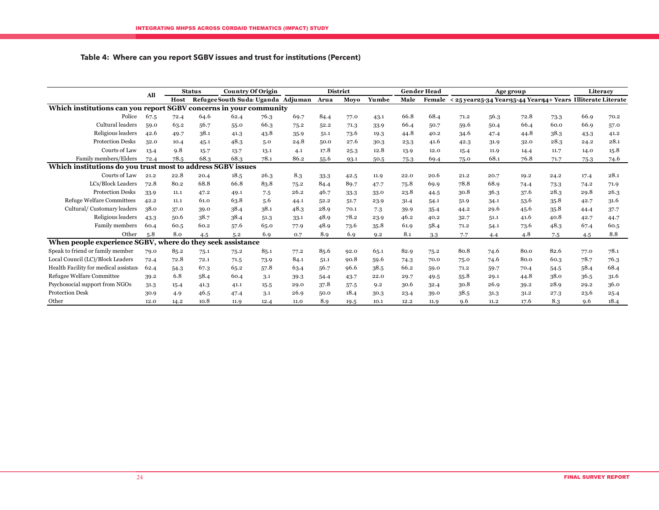### **Table 4: Where can you report SGBV issues and trust for institutions (Percent)**

|                                                                   |      |      | <b>Status</b> | <b>Country Of Origin</b>               |      |      |      | <b>District</b> |       |      | <b>Gender Head</b> |      |      | Age group                                                            |      |      | Literacy |
|-------------------------------------------------------------------|------|------|---------------|----------------------------------------|------|------|------|-----------------|-------|------|--------------------|------|------|----------------------------------------------------------------------|------|------|----------|
|                                                                   | All  | Host |               | Refugee South Suda Uganda Adjuman Arua |      |      |      | Movo            | Yumbe | Male |                    |      |      | Female < 25 year 25-34 Year 35-44 Years 4+ Years Illiterate Literate |      |      |          |
| Which institutions can you report SGBV concerns in your community |      |      |               |                                        |      |      |      |                 |       |      |                    |      |      |                                                                      |      |      |          |
| Police                                                            | 67.5 | 72.4 | 64.6          | 62.4                                   | 76.3 | 69.7 | 84.4 | 77.0            | 43.1  | 66.8 | 68.4               | 71.2 | 56.3 | 72.8                                                                 | 73.3 | 66.9 | 70.2     |
| Cultural leaders                                                  | 59.0 | 63.2 | 56.7          | 55.0                                   | 66.3 | 75.2 | 52.2 | 71.3            | 33.9  | 66.4 | 50.7               | 59.6 | 50.4 | 66.4                                                                 | 60.0 | 66.9 | 57.0     |
| Religious leaders                                                 | 42.6 | 49.7 | 38.1          | 41.3                                   | 43.8 | 35.9 | 51.1 | 73.6            | 19.3  | 44.8 | 40.2               | 34.6 | 47.4 | 44.8                                                                 | 38.3 | 43.3 | 41.2     |
| <b>Protection Desks</b>                                           | 32.0 | 10.4 | 45.1          | 48.3                                   | 5.0  | 24.8 | 50.0 | 27.6            | 30.3  | 23.3 | 41.6               | 42.3 | 31.9 | 32.0                                                                 | 28.3 | 24.2 | 28.1     |
| Courts of Law                                                     | 13.4 | 9.8  | 15.7          | 13.7                                   | 13.1 | 4.1  | 17.8 | 25.3            | 12.8  | 13.9 | 12.0               | 15.4 | 11.9 | 14.4                                                                 | 11.7 | 14.0 | 15.8     |
| Family members/Elders                                             | 72.4 | 78.5 | 68.3          | 68.3                                   | 78.1 | 86.2 | 55.6 | 93.1            | 50.5  | 75.3 | 69.4               | 75.0 | 68.1 | 76.8                                                                 | 71.7 | 75.3 | 74.6     |
| Which institutions do you trust most to address SGBV issues       |      |      |               |                                        |      |      |      |                 |       |      |                    |      |      |                                                                      |      |      |          |
| Courts of Law                                                     | 21.2 | 22.8 | 20.4          | 18.5                                   | 26.3 | 8.3  | 33.3 | 42.5            | 11.9  | 22.0 | 20.6               | 21.2 | 20.7 | 19.2                                                                 | 24.2 | 17.4 | 28.1     |
| LCs/Block Leaders                                                 | 72.8 | 80.2 | 68.8          | 66.8                                   | 83.8 | 75.2 | 84.4 | 89.7            | 47.7  | 75.8 | 69.9               | 78.8 | 68.9 | 74.4                                                                 | 73.3 | 74.2 | 71.9     |
| <b>Protection Desks</b>                                           | 33.9 | 11.1 | 47.2          | 49.1                                   | 7.5  | 26.2 | 46.7 | 33.3            | 33.0  | 23.8 | 44.5               | 30.8 | 36.3 | 37.6                                                                 | 28.3 | 29.8 | 26.3     |
| <b>Refuge Welfare Committees</b>                                  | 42.2 | 11.1 | 61.0          | 63.8                                   | 5.6  | 44.1 | 52.2 | 51.7            | 23.9  | 31.4 | 54.1               | 51.9 | 34.1 | 53.6                                                                 | 35.8 | 42.7 | 31.6     |
| Cultural/Customary leaders                                        | 38.0 | 37.0 | 39.0          | 38.4                                   | 38.1 | 48.3 | 28.9 | 70.1            | 7.3   | 39.9 | 35.4               | 44.2 | 29.6 | 45.6                                                                 | 35.8 | 44.4 | 37.7     |
| Religious leaders                                                 | 43.3 | 50.6 | 38.7          | 38.4                                   | 51.3 | 33.1 | 48.9 | 78.2            | 23.9  | 46.2 | 40.2               | 32.7 | 51.1 | 41.6                                                                 | 40.8 | 42.7 | 44.7     |
| Family members                                                    | 60.4 | 60.5 | 60.2          | 57.6                                   | 65.0 | 77.9 | 48.9 | 73.6            | 35.8  | 61.9 | 58.4               | 71.2 | 54.1 | 73.6                                                                 | 48.3 | 67.4 | 60.5     |
| Other                                                             | 5.8  | 8.0  | 4.5           | 5.2                                    | 6.9  | 0.7  | 8.9  | 6.9             | 9.2   | 8.1  | 3.3                | 7.7  | 4.4  | 4.8                                                                  | 7.5  | 4.5  | 8.8      |
| When people experience SGBV, where do they seek assistance        |      |      |               |                                        |      |      |      |                 |       |      |                    |      |      |                                                                      |      |      |          |
| Speak to friend or family member                                  | 79.0 | 85.2 | 75.1          | 75.2                                   | 85.1 | 77.2 | 85.6 | 92.0            | 65.1  | 82.9 | 75.2               | 80.8 | 74.6 | 80.0                                                                 | 82.6 | 77.0 | 78.1     |
| Local Council (LC)/Block Leaders                                  | 72.4 | 72.8 | 72.1          | 71.5                                   | 73.9 | 84.1 | 51.1 | 90.8            | 59.6  | 74.3 | 70.0               | 75.0 | 74.6 | 80.0                                                                 | 60.3 | 78.7 | 76.3     |
| Health Facility for medical assistan                              | 62.4 | 54.3 | 67.3          | 65.2                                   | 57.8 | 63.4 | 56.7 | 96.6            | 38.5  | 66.2 | 59.0               | 71.2 | 59.7 | 70.4                                                                 | 54.5 | 58.4 | 68.4     |
| Refugee Welfare Committee                                         | 39.2 | 6.8  | 58.4          | 60.4                                   | 3.1  | 39.3 | 54.4 | 43.7            | 22.0  | 29.7 | 49.5               | 55.8 | 29.1 | 44.8                                                                 | 38.0 | 36.5 | 31.6     |
| Psychosocial support from NGOs                                    | 31.3 | 15.4 | 41.3          | 41.1                                   | 15.5 | 29.0 | 37.8 | 57.5            | 9.2   | 30.6 | 32.4               | 30.8 | 26.9 | 39.2                                                                 | 28.9 | 29.2 | 36.0     |
| <b>Protection Desk</b>                                            | 30.9 | 4.9  | 46.5          | 47.4                                   | 3.1  | 26.9 | 50.0 | 18.4            | 30.3  | 23.4 | 39.0               | 38.5 | 31.3 | 31.2                                                                 | 27.3 | 23.6 | 25.4     |
| Other                                                             | 12.0 | 14.2 | 10.8          | 11.9                                   | 12.4 | 11.0 | 8.9  | 19.5            | 10.1  | 12.2 | 11.9               | 9.6  | 11.2 | 17.6                                                                 | 8.3  | 9.6  | 18.4     |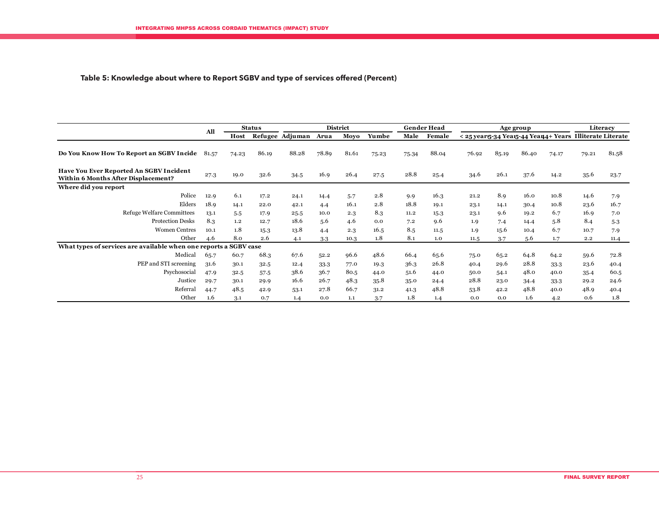### **Table 5: Knowledge about where to Report SGBV and type of services offered (Percent)**

|                                                                                              | All   |       | <b>Status</b> |                 |       | <b>District</b> |       |       | <b>Gender Head</b> |                                                            |       | Age group |       |       | Literacy |
|----------------------------------------------------------------------------------------------|-------|-------|---------------|-----------------|-------|-----------------|-------|-------|--------------------|------------------------------------------------------------|-------|-----------|-------|-------|----------|
|                                                                                              |       | Host  |               | Refugee Adjuman | Arua  | Moyo            | Yumbe | Male  | Female             | < 25 year 5-34 Year 5-44 Year 4+ Years Illiterate Literate |       |           |       |       |          |
| Do You Know How To Report an SGBV Incide                                                     | 81.57 | 74.23 | 86.19         | 88.28           | 78.89 | 81.61           | 75.23 | 75.34 | 88.04              | 76.92                                                      | 85.19 | 86.40     | 74.17 | 79.21 | 81.58    |
| <b>Have You Ever Reported An SGBV Incident</b><br><b>Within 6 Months After Displacement?</b> |       | 19.0  | 32.6          | 34.5            | 16.9  | 26.4            | 27.5  | 28.8  | 25.4               | 34.6                                                       | 26.1  | 37.6      | 14.2  | 35.6  | 23.7     |
| Where did you report                                                                         |       |       |               |                 |       |                 |       |       |                    |                                                            |       |           |       |       |          |
| Police                                                                                       | 12.9  | 6.1   | 17.2          | 24.1            | 14.4  | 5.7             | 2.8   | 9.9   | 16.3               | 21.2                                                       | 8.9   | 16.0      | 10.8  | 14.6  | 7.9      |
| Elders                                                                                       | 18.9  | 14.1  | 22.0          | 42.1            | 4.4   | 16.1            | 2.8   | 18.8  | 19.1               | 23.1                                                       | 14.1  | 30.4      | 10.8  | 23.6  | 16.7     |
| <b>Refuge Welfare Committees</b>                                                             | 13.1  | 5.5   | 17.9          | 25.5            | 10.0  | 2.3             | 8.3   | 11.2  | 15.3               | 23.1                                                       | 9.6   | 19.2      | 6.7   | 16.9  | 7.0      |
| <b>Protection Desks</b>                                                                      | 8.3   | 1,2   | 12.7          | 18.6            | 5.6   | 4.6             | 0.0   | 7.2   | 9.6                | 1.9                                                        | 7.4   | 14.4      | 5.8   | 8.4   | $5-3$    |
| <b>Women Centres</b>                                                                         | 10.1  | 1.8   | 15.3          | 13.8            | 4.4   | 2.3             | 16.5  | 8.5   | 11.5               | 1,9                                                        | 15.6  | 10.4      | 6.7   | 10.7  | 7.9      |
| Other                                                                                        | 4.6   | 8.0   | 2.6           | 4.1             | 3.3   | 10.3            | 1.8   | 8.1   | 1.0                | 11.5                                                       | 3.7   | 5.6       | 1.7   | 2.2   | 11.4     |
| What types of services are available when one reports a SGBV case                            |       |       |               |                 |       |                 |       |       |                    |                                                            |       |           |       |       |          |
| Medical                                                                                      | 65.7  | 60.7  | 68.3          | 67.6            | 52.2  | 96.6            | 48.6  | 66.4  | 65.6               | 75.0                                                       | 65.2  | 64.8      | 64.2  | 59.6  | 72.8     |
| PEP and STI screening                                                                        | 31.6  | 30.1  | 32.5          | 12.4            | 33.3  | 77.0            | 19.3  | 36.3  | 26.8               | 40.4                                                       | 29.6  | 28.8      | 33.3  | 23.6  | 40.4     |
| Psychosocial                                                                                 | 47.9  | 32.5  | 57.5          | 38.6            | 36.7  | 80.5            | 44.0  | 51.6  | 44.0               | 50.0                                                       | 54.1  | 48.0      | 40.0  | 35.4  | 60.5     |
| Justice                                                                                      | 29.7  | 30.1  | 29.9          | 16.6            | 26.7  | 48.3            | 35.8  | 35.0  | 24.4               | 28.8                                                       | 23.0  | 34.4      | 33.3  | 29.2  | 24.6     |
| Referral                                                                                     | 44.7  | 48.5  | 42.9          | 53.1            | 27.8  | 66.7            | 31.2  | 41.3  | 48.8               | 53.8                                                       | 42.2  | 48.8      | 40.0  | 48.9  | 40.4     |
| Other                                                                                        | 1.6   | 3.1   | 0.7           | 1.4             | 0.0   | 1.1             | 3.7   | 1.8   | 1.4                | 0.0                                                        | 0.0   | 1.6       | 4.2   | 0.6   | 1.8      |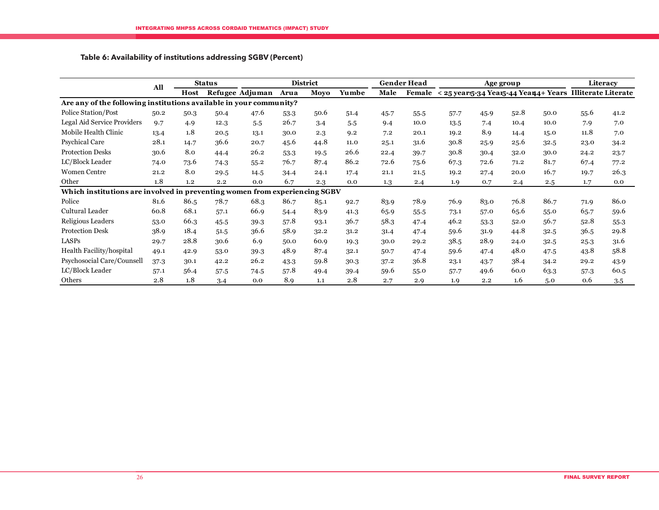### **Table 6: Availability of institutions addressing SGBV (Percent)**

|                                                                            |                    |      | <b>Status</b>   | <b>District</b> |      |       |      |      | <b>Gender Head</b> |      | <b>Age group</b> | Literacy                                                          |      |      |        |
|----------------------------------------------------------------------------|--------------------|------|-----------------|-----------------|------|-------|------|------|--------------------|------|------------------|-------------------------------------------------------------------|------|------|--------|
|                                                                            | All<br><b>Host</b> |      | Refugee Adjuman | Arua            | Moyo | Yumbe | Male |      |                    |      |                  | Female < 25 year 5-34 Year 5-44 Year 4+ Years Illiterate Literate |      |      |        |
| Are any of the following institutions available in your community?         |                    |      |                 |                 |      |       |      |      |                    |      |                  |                                                                   |      |      |        |
| Police Station/Post                                                        | 50.2               | 50.3 | 50.4            | 47.6            | 53.3 | 50.6  | 51.4 | 45.7 | 55.5               | 57.7 | 45.9             | 52.8                                                              | 50.0 | 55.6 | 41.2   |
| Legal Aid Service Providers                                                | 9.7                | 4.9  | 12.3            | 5.5             | 26.7 | 3.4   | 5.5  | 9.4  | 10.0               | 13.5 | 7.4              | 10.4                                                              | 10.0 | 7.9  | 7.0    |
| Mobile Health Clinic                                                       | 13.4               | 1.8  | 20.5            | 13.1            | 30.0 | 2.3   | 9.2  | 7.2  | 20.1               | 19.2 | 8.9              | 14.4                                                              | 15.0 | 11.8 | 7.0    |
| <b>Psychical Care</b>                                                      | 28.1               | 14.7 | 36.6            | 20.7            | 45.6 | 44.8  | 11.0 | 25.1 | 31.6               | 30.8 | 25.9             | 25.6                                                              | 32.5 | 23.0 | 34.2   |
| <b>Protection Desks</b>                                                    | 30.6               | 8.0  | 44.4            | 26.2            | 53.3 | 19.5  | 26.6 | 22.4 | 39.7               | 30.8 | 30.4             | 32.0                                                              | 30.0 | 24.2 | 23.7   |
| LC/Block Leader                                                            | 74.0               | 73.6 | 74.3            | 55.2            | 76.7 | 87.4  | 86.2 | 72.6 | 75.6               | 67.3 | 72.6             | 71.2                                                              | 81.7 | 67.4 | 77.2   |
| <b>Women Centre</b>                                                        | 21.2               | 8.0  | 29.5            | 14.5            | 34.4 | 24.1  | 17.4 | 21.1 | 21.5               | 19.2 | 27.4             | 20.0                                                              | 16.7 | 19.7 | 26.3   |
| Other                                                                      | 1.8                | 1,2  | 2.2             | 0.0             | 6.7  | 2.3   | 0.0  | 1.3  | 2.4                | 1.9  | 0.7              | 2.4                                                               | 2.5  | 1.7  | 0.0    |
| Which institutions are involved in preventing women from experiencing SGBV |                    |      |                 |                 |      |       |      |      |                    |      |                  |                                                                   |      |      |        |
| Police                                                                     | 81.6               | 86.5 | 78.7            | 68.3            | 86.7 | 85.1  | 92.7 | 83.9 | 78.9               | 76.9 | 83.0             | 76.8                                                              | 86.7 | 71.9 | 86.0   |
| Cultural Leader                                                            | 60.8               | 68.1 | 57.1            | 66.9            | 54.4 | 83.9  | 41.3 | 65.9 | 55.5               | 73.1 | 57.0             | 65.6                                                              | 55.0 | 65.7 | 59.6   |
| Religious Leaders                                                          | 53.0               | 66.3 | 45.5            | 39.3            | 57.8 | 93.1  | 36.7 | 58.3 | 47.4               | 46.2 | 53.3             | 52.0                                                              | 56.7 | 52.8 | $55-3$ |
| <b>Protection Desk</b>                                                     | 38.9               | 18.4 | 51.5            | 36.6            | 58.9 | 32.2  | 31.2 | 31.4 | 47.4               | 59.6 | 31.9             | 44.8                                                              | 32.5 | 36.5 | 29.8   |
| LASPs                                                                      | 29.7               | 28.8 | 30.6            | 6.9             | 50.0 | 60.9  | 19.3 | 30.0 | 29.2               | 38.5 | 28.9             | 24.0                                                              | 32.5 | 25.3 | 31.6   |
| Health Facility/hospital                                                   | 49.1               | 42.9 | 53.0            | 39.3            | 48.9 | 87.4  | 32.1 | 50.7 | 47.4               | 59.6 | 47.4             | 48.0                                                              | 47.5 | 43.8 | 58.8   |
| Psychosocial Care/Counsell                                                 | 37.3               | 30.1 | 42.2            | 26.2            | 43.3 | 59.8  | 30.3 | 37.2 | 36.8               | 23.1 | 43.7             | 38.4                                                              | 34.2 | 29.2 | 43.9   |
| LC/Block Leader                                                            | 57.1               | 56.4 | 57.5            | 74.5            | 57.8 | 49.4  | 39.4 | 59.6 | 55.0               | 57.7 | 49.6             | 60.0                                                              | 63.3 | 57.3 | 60.5   |
| Others                                                                     | 2.8                | 1.8  | 3.4             | 0.0             | 8.9  | 1.1   | 2.8  | 2.7  | 2.9                | 1.9  | 2.2              | 1.6                                                               | 5.0  | 0.6  | 3.5    |